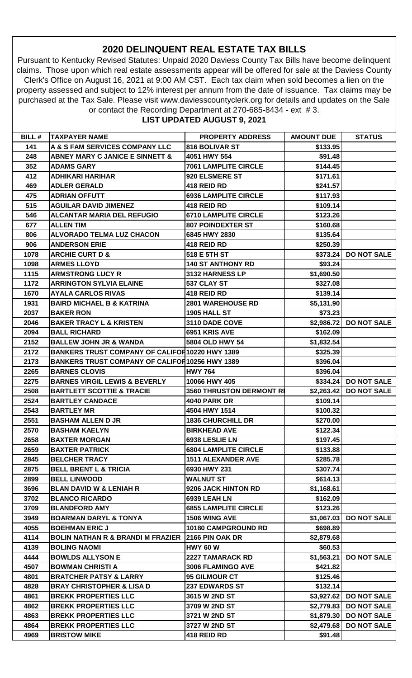## **2020 DELINQUENT REAL ESTATE TAX BILLS**

Pursuant to Kentucky Revised Statutes: Unpaid 2020 Daviess County Tax Bills have become delinquent claims. Those upon which real estate assessments appear will be offered for sale at the Daviess County Clerk's Office on August 16, 2021 at 9:00 AM CST. Each tax claim when sold becomes a lien on the property assessed and subject to 12% interest per annum from the date of issuance. Tax claims may be purchased at the Tax Sale. Please visit www.daviesscountyclerk.org for details and updates on the Sale or contact the Recording Department at 270-685-8434 - ext # 3.

## **LIST UPDATED AUGUST 9, 2021**

| <b>BILL#</b> | <b>TAXPAYER NAME</b>                                   | <b>PROPERTY ADDRESS</b>         | <b>AMOUNT DUE</b> | <b>STATUS</b>          |
|--------------|--------------------------------------------------------|---------------------------------|-------------------|------------------------|
| 141          | A & S FAM SERVICES COMPANY LLC                         | <b>816 BOLIVAR ST</b>           | \$133.95          |                        |
| 248          | <b>ABNEY MARY C JANICE E SINNETT &amp;</b>             | 4051 HWY 554                    | \$91.48           |                        |
| 352          | <b>ADAMS GARY</b>                                      | <b>7061 LAMPLITE CIRCLE</b>     | \$144.45          |                        |
| 412          | <b>ADHIKARI HARIHAR</b>                                | 920 ELSMERE ST                  | \$171.61          |                        |
| 469          | <b>ADLER GERALD</b>                                    | 418 REID RD                     | \$241.57          |                        |
| 475          | <b>ADRIAN OFFUTT</b>                                   | <b>6936 LAMPLITE CIRCLE</b>     | \$117.93          |                        |
| 515          | <b>AGUILAR DAVID JIMENEZ</b>                           | 418 REID RD                     | \$109.14          |                        |
| 546          | <b>ALCANTAR MARIA DEL REFUGIO</b>                      | <b>6710 LAMPLITE CIRCLE</b>     | \$123.26          |                        |
| 677          | <b>ALLEN TIM</b>                                       | <b>807 POINDEXTER ST</b>        | \$160.68          |                        |
| 806          | <b>ALVORADO TELMA LUZ CHACON</b>                       | 6845 HWY 2830                   | \$135.64          |                        |
| 906          | <b>ANDERSON ERIE</b>                                   | 418 REID RD                     | \$250.39          |                        |
| 1078         | <b>ARCHIE CURT D &amp;</b>                             | 518 E 5TH ST                    | \$373.24          | <b>DO NOT SALE</b>     |
| 1098         | <b>ARMES LLOYD</b>                                     | <b>140 ST ANTHONY RD</b>        | \$93.24           |                        |
| 1115         | <b>ARMSTRONG LUCY R</b>                                | 3132 HARNESS LP                 | \$1,690.50        |                        |
| 1172         | <b>ARRINGTON SYLVIA ELAINE</b>                         | 537 CLAY ST                     | \$327.08          |                        |
| 1670         | <b>AYALA CARLOS RIVAS</b>                              | 418 REID RD                     | \$139.14          |                        |
| 1931         | <b>BAIRD MICHAEL B &amp; KATRINA</b>                   | <b>2801 WAREHOUSE RD</b>        | \$5,131.90        |                        |
| 2037         | <b>BAKER RON</b>                                       | 1905 HALL ST                    | \$73.23           |                        |
| 2046         | <b>BAKER TRACY L &amp; KRISTEN</b>                     | 3110 DADE COVE                  |                   | \$2,986.72 DO NOT SALE |
| 2094         | <b>BALL RICHARD</b>                                    | 6951 KRIS AVE                   | \$162.09          |                        |
| 2152         | <b>BALLEW JOHN JR &amp; WANDA</b>                      | 5804 OLD HWY 54                 | \$1,832.54        |                        |
| 2172         | BANKERS TRUST COMPANY OF CALIFOF 10220 HWY 1389        |                                 | \$325.39          |                        |
| 2173         | <b>BANKERS TRUST COMPANY OF CALIFOR 10256 HWY 1389</b> |                                 | \$396.04          |                        |
| 2265         | <b>BARNES CLOVIS</b>                                   | <b>HWY 764</b>                  | \$396.04          |                        |
| 2275         | <b>BARNES VIRGIL LEWIS &amp; BEVERLY</b>               | 10066 HWY 405                   |                   | \$334.24 DO NOT SALE   |
| 2508         | <b>BARTLETT SCOTTIE &amp; TRACIE</b>                   | <b>3560 THRUSTON DERMONT RI</b> | \$2,263.42        | <b>DO NOT SALE</b>     |
| 2524         | <b>BARTLEY CANDACE</b>                                 | <b>4040 PARK DR</b>             | \$109.14]         |                        |
| 2543         | <b>BARTLEY MR</b>                                      | 4504 HWY 1514                   | \$100.32          |                        |
| 2551         | <b>BASHAM ALLEN D JR</b>                               | <b>1836 CHURCHILL DR</b>        | \$270.00          |                        |
| 2570         | <b>BASHAM KAELYN</b>                                   | <b>BIRKHEAD AVE</b>             | \$122.34          |                        |
| 2658         | <b>BAXTER MORGAN</b>                                   | 6938 LESLIE LN                  | \$197.45          |                        |
| 2659         | <b>BAXTER PATRICK</b>                                  | <b>6804 LAMPLITE CIRCLE</b>     | \$133.88          |                        |
| 2845         | <b>BELCHER TRACY</b>                                   | <b>1511 ALEXANDER AVE</b>       | \$285.78          |                        |
| 2875         | <b>BELL BRENT L &amp; TRICIA</b>                       | 6930 HWY 231                    | \$307.74          |                        |
| 2899         | <b>BELL LINWOOD</b>                                    | <b>WALNUT ST</b>                | \$614.13          |                        |
| 3696         | <b>BLAN DAVID W &amp; LENIAH R</b>                     | 9206 JACK HINTON RD             | \$1,168.61        |                        |
| 3702         | <b>BLANCO RICARDO</b>                                  | <b>6939 LEAH LN</b>             | \$162.09          |                        |
| 3709         | <b>BLANDFORD AMY</b>                                   | <b>6855 LAMPLITE CIRCLE</b>     | \$123.26          |                        |
| 3949         | <b>BOARMAN DARYL &amp; TONYA</b>                       | 1506 WING AVE                   | \$1,067.03        | <b>DO NOT SALE</b>     |
| 4055         | <b>BOEHMAN ERIC J</b>                                  | 10180 CAMPGROUND RD             | \$698.89          |                        |
| 4114         | <b>BOLIN NATHAN R &amp; BRANDI M FRAZIER</b>           | <b>2166 PIN OAK DR</b>          | \$2,879.68        |                        |
| 4139         | <b>BOLING NAOMI</b>                                    | <b>HWY 60 W</b>                 | \$60.53           |                        |
| 4444         | <b>BOWLDS ALLYSON E</b>                                | <b>2227 TAMARACK RD</b>         | \$1,563.21        | <b>DO NOT SALE</b>     |
| 4507         | <b>BOWMAN CHRISTI A</b>                                | 3006 FLAMINGO AVE               | \$421.82          |                        |
| 4801         | <b>BRATCHER PATSY &amp; LARRY</b>                      | 95 GILMOUR CT                   | \$125.46          |                        |
| 4828         | <b>BRAY CHRISTOPHER &amp; LISA D</b>                   | <b>237 EDWARDS ST</b>           | \$132.14          |                        |
| 4861         | <b>BREKK PROPERTIES LLC</b>                            | 3615 W 2ND ST                   |                   | \$3,927.62 DO NOT SALE |
| 4862         | <b>BREKK PROPERTIES LLC</b>                            | 3709 W 2ND ST                   |                   | \$2,779.83 DO NOT SALE |
| 4863         | <b>BREKK PROPERTIES LLC</b>                            | 3721 W 2ND ST                   |                   | \$1,879.30 DO NOT SALE |
| 4864         | <b>BREKK PROPERTIES LLC</b>                            | 3727 W 2ND ST                   | \$2,479.68        | <b>DO NOT SALE</b>     |
| 4969         | <b>BRISTOW MIKE</b>                                    | 418 REID RD                     | \$91.48           |                        |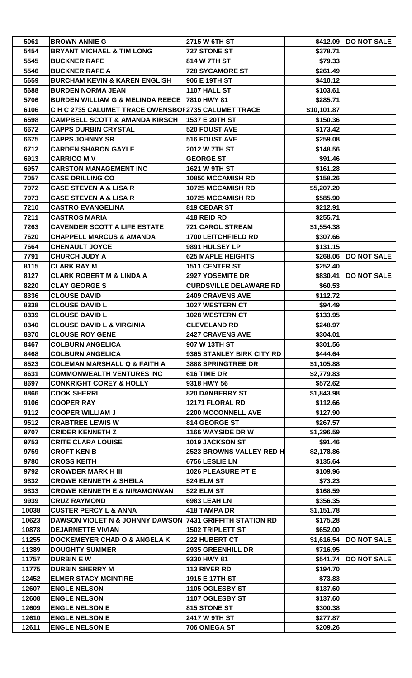| 5061         | <b>BROWN ANNIE G</b>                                                | 2715 W 6TH ST                 |                      | \$412.09 DO NOT SALE   |
|--------------|---------------------------------------------------------------------|-------------------------------|----------------------|------------------------|
| 5454         | <b>BRYANT MICHAEL &amp; TIM LONG</b>                                | 727 STONE ST                  | \$378.71             |                        |
| 5545         | <b>BUCKNER RAFE</b>                                                 | 814 W 7TH ST                  | \$79.33              |                        |
| 5546         | <b>BUCKNER RAFE A</b>                                               | <b>728 SYCAMORE ST</b>        | \$261.49             |                        |
| 5659         | <b>BURCHAM KEVIN &amp; KAREN ENGLISH</b>                            | 906 E 19TH ST                 | \$410.12             |                        |
| 5688         | <b>BURDEN NORMA JEAN</b>                                            | 1107 HALL ST                  | \$103.61             |                        |
| 5706         | <b>BURDEN WILLIAM G &amp; MELINDA REECE   7810 HWY 81</b>           |                               | \$285.71             |                        |
| 6106         | C H C 2735 CALUMET TRACE OWENSBOI 2735 CALUMET TRACE                |                               | \$10,101.87          |                        |
| 6598         | <b>CAMPBELL SCOTT &amp; AMANDA KIRSCH</b>                           | 1537 E 20TH ST                | \$150.36             |                        |
| 6672         | <b>CAPPS DURBIN CRYSTAL</b>                                         | 520 FOUST AVE                 | \$173.42             |                        |
| 6675         | <b>CAPPS JOHNNY SR</b>                                              | 516 FOUST AVE                 | \$259.08             |                        |
| 6712         | <b>CARDEN SHARON GAYLE</b>                                          | 2012 W 7TH ST                 | \$148.56             |                        |
| 6913         | <b>CARRICO M V</b>                                                  | <b>GEORGE ST</b>              | \$91.46              |                        |
| 6957         | <b>CARSTON MANAGEMENT INC</b>                                       | 1621 W 9TH ST                 | \$161.28             |                        |
| 7057         | <b>CASE DRILLING CO</b>                                             | <b>10850 MCCAMISH RD</b>      | \$158.26             |                        |
| 7072         | <b>CASE STEVEN A &amp; LISA R</b>                                   | 10725 MCCAMISH RD             | \$5,207.20           |                        |
| 7073         | <b>CASE STEVEN A &amp; LISA R</b>                                   | <b>10725 MCCAMISH RD</b>      | \$585.90             |                        |
| 7210         | <b>CASTRO EVANGELINA</b>                                            | 819 CEDAR ST                  | \$212.91             |                        |
| 7211         | <b>CASTROS MARIA</b>                                                | 418 REID RD                   | \$255.71             |                        |
| 7263         | <b>CAVENDER SCOTT A LIFE ESTATE</b>                                 | <b>721 CAROL STREAM</b>       |                      |                        |
|              | <b>CHAPPELL MARCUS &amp; AMANDA</b>                                 | <b>1700 LEITCHFIELD RD</b>    | \$1,554.38           |                        |
| 7620<br>7664 | <b>CHENAULT JOYCE</b>                                               | 9891 HULSEY LP                | \$307.66<br>\$131.15 |                        |
|              | <b>CHURCH JUDY A</b>                                                | <b>625 MAPLE HEIGHTS</b>      |                      | <b>DO NOT SALE</b>     |
| 7791         |                                                                     |                               | \$268.06             |                        |
| 8115         | <b>CLARK RAY M</b>                                                  | <b>1511 CENTER ST</b>         | \$252.40             |                        |
| 8127         | <b>CLARK ROBERT M &amp; LINDA A</b>                                 | 2927 YOSEMITE DR              | \$830.41             | <b>DO NOT SALE</b>     |
| 8220         | <b>CLAY GEORGE S</b>                                                | <b>CURDSVILLE DELAWARE RD</b> | \$60.53              |                        |
| 8336         | <b>CLOUSE DAVID</b>                                                 | <b>2409 CRAVENS AVE</b>       | \$112.72             |                        |
| 8338         | <b>CLOUSE DAVID L</b>                                               | 1027 WESTERN CT               | \$94.49              |                        |
| 8339         | <b>CLOUSE DAVID L</b>                                               | 1028 WESTERN CT               | \$133.95             |                        |
| 8340         | <b>CLOUSE DAVID L &amp; VIRGINIA</b>                                | <b>CLEVELAND RD</b>           | \$248.97             |                        |
| 8370         | <b>CLOUSE ROY GENE</b>                                              | <b>2427 CRAVENS AVE</b>       | \$304.01             |                        |
| 8467         | <b>COLBURN ANGELICA</b>                                             | 907 W 13TH ST                 | \$301.56             |                        |
| 8468         | <b>COLBURN ANGELICA</b>                                             | 9365 STANLEY BIRK CITY RD     | \$444.64             |                        |
| 8523         | <b>COLEMAN MARSHALL Q &amp; FAITH A</b>                             | <b>3888 SPRINGTREE DR</b>     | \$1,105.88           |                        |
| 8631         | <b>COMMONWEALTH VENTURES INC</b>                                    | 616 TIME DR                   | \$2,779.83           |                        |
| 8697         | <b>CONKRIGHT COREY &amp; HOLLY</b>                                  | 9318 HWY 56                   | \$572.62             |                        |
| 8866         | <b>COOK SHERRI</b>                                                  | 820 DANBERRY ST               | \$1,843.98           |                        |
| 9106         | <b>COOPER RAY</b>                                                   | 12171 FLORAL RD               | \$112.66             |                        |
| 9112         | <b>COOPER WILLIAM J</b>                                             | <b>2200 MCCONNELL AVE</b>     | \$127.90             |                        |
| 9512         | <b>CRABTREE LEWIS W</b>                                             | 814 GEORGE ST                 | \$267.57             |                        |
| 9707         | <b>CRIDER KENNETH Z</b>                                             | 1166 WAYSIDE DR W             | \$1,296.59           |                        |
| 9753         | <b>CRITE CLARA LOUISE</b>                                           | 1019 JACKSON ST               | \$91.46              |                        |
| 9759         | <b>CROFT KEN B</b>                                                  | 2523 BROWNS VALLEY RED H      | \$2,178.86           |                        |
| 9780         | <b>CROSS KEITH</b>                                                  | 6756 LESLIE LN                | \$135.64             |                        |
| 9792         | <b>CROWDER MARK H III</b>                                           | 1026 PLEASURE PT E            | \$109.96             |                        |
| 9832         | <b>CROWE KENNETH &amp; SHEILA</b>                                   | 524 ELM ST                    | \$73.23              |                        |
| 9833         | <b>CROWE KENNETH E &amp; NIRAMONWAN</b>                             | <b>522 ELM ST</b>             | \$168.59             |                        |
| 9939         | <b>CRUZ RAYMOND</b>                                                 | 6983 LEAH LN                  | \$356.35             |                        |
| 10038        | <b>CUSTER PERCY L &amp; ANNA</b>                                    | <b>418 TAMPA DR</b>           | \$1,151.78           |                        |
| 10623        | <b>DAWSON VIOLET N &amp; JOHNNY DAWSON 7431 GRIFFITH STATION RD</b> |                               | \$175.28             |                        |
| 10878        | <b>DEJARNETTE VIVIAN</b>                                            | <b>1502 TRIPLETT ST</b>       | \$652.00             |                        |
| 11255        | <b>DOCKEMEYER CHAD O &amp; ANGELA K</b>                             | 222 HUBERT CT                 |                      | \$1,616.54 DO NOT SALE |
| 11389        | <b>DOUGHTY SUMMER</b>                                               | 2935 GREENHILL DR             | \$716.95             |                        |
| 11757        | <b>DURBIN EW</b>                                                    | 9330 HWY 81                   | \$541.74             | <b>DO NOT SALE</b>     |
| 11775        | <b>DURBIN SHERRY M</b>                                              | 113 RIVER RD                  | \$194.70             |                        |
| 12452        | <b>ELMER STACY MCINTIRE</b>                                         | 1915 E 17TH ST                | \$73.83              |                        |
| 12607        | <b>ENGLE NELSON</b>                                                 | 1105 OGLESBY ST               | \$137.60             |                        |
| 12608        | <b>ENGLE NELSON</b>                                                 | 1107 OGLESBY ST               | \$137.60             |                        |
| 12609        | <b>ENGLE NELSON E</b>                                               | 815 STONE ST                  | \$300.38             |                        |
| 12610        | <b>ENGLE NELSON E</b>                                               | 2417 W 9TH ST                 | \$277.87             |                        |
| 12611        | <b>ENGLE NELSON E</b>                                               | 706 OMEGA ST                  | \$209.26             |                        |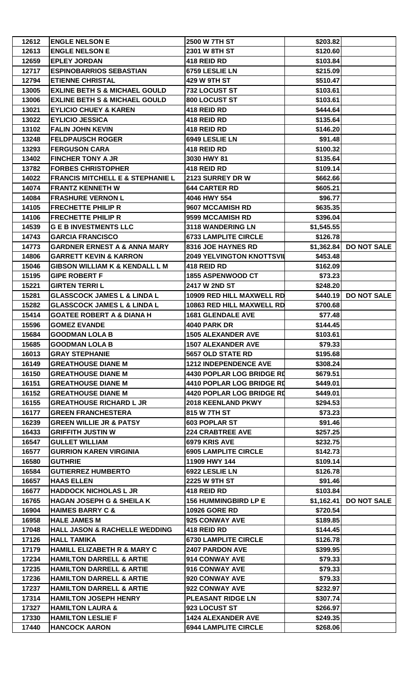| 12612          | <b>ENGLE NELSON E</b>                       | 2500 W 7TH ST                                   | \$203.82             |                    |
|----------------|---------------------------------------------|-------------------------------------------------|----------------------|--------------------|
| 12613          | <b>ENGLE NELSON E</b>                       | 2301 W 8TH ST                                   | \$120.60             |                    |
| 12659          | <b>EPLEY JORDAN</b>                         | 418 REID RD                                     | \$103.84             |                    |
| 12717          | <b>ESPINOBARRIOS SEBASTIAN</b>              | 6759 LESLIE LN                                  | \$215.09             |                    |
| 12794          | <b>ETIENNE CHRISTAL</b>                     | 429 W 9TH ST                                    | \$510.47             |                    |
| 13005          | <b>EXLINE BETH S &amp; MICHAEL GOULD</b>    | 732 LOCUST ST                                   | \$103.61             |                    |
| 13006          | <b>EXLINE BETH S &amp; MICHAEL GOULD</b>    | 800 LOCUST ST                                   | \$103.61             |                    |
| 13021          | <b>EYLICIO CHUEY &amp; KAREN</b>            | 418 REID RD                                     | \$444.64             |                    |
| 13022          | <b>EYLICIO JESSICA</b>                      | 418 REID RD                                     | \$135.64             |                    |
| 13102          | <b>FALIN JOHN KEVIN</b>                     | 418 REID RD                                     | \$146.20             |                    |
| 13248          | <b>FELDPAUSCH ROGER</b>                     | 6949 LESLIE LN                                  | \$91.48              |                    |
| 13293          | <b>FERGUSON CARA</b>                        | 418 REID RD                                     | \$100.32             |                    |
| 13402          | <b>FINCHER TONY A JR</b>                    | 3030 HWY 81                                     | \$135.64             |                    |
| 13782          | <b>FORBES CHRISTOPHER</b>                   | 418 REID RD                                     | \$109.14             |                    |
| 14022          | <b>FRANCIS MITCHELL E &amp; STEPHANIE L</b> | 2123 SURREY DR W                                | \$662.66             |                    |
| 14074          | <b>FRANTZ KENNETH W</b>                     | <b>644 CARTER RD</b>                            | \$605.21             |                    |
| 14084          | <b>FRASHURE VERNON L</b>                    | 4046 HWY 554                                    | \$96.77              |                    |
| 14105          | <b>FRECHETTE PHILIP R</b>                   | 9607 MCCAMISH RD                                | \$635.35             |                    |
| 14106          | <b>FRECHETTE PHILIP R</b>                   | 9599 MCCAMISH RD                                | \$396.04             |                    |
| 14539          | <b>G E B INVESTMENTS LLC</b>                | 3118 WANDERING LN                               | \$1,545.55           |                    |
| 14743          | <b>GARCIA FRANCISCO</b>                     | <b>6733 LAMPLITE CIRCLE</b>                     | \$126.78             |                    |
| 14773          | <b>GARDNER ERNEST A &amp; ANNA MARY</b>     | 8316 JOE HAYNES RD                              | \$1,362.84           | <b>DO NOT SALE</b> |
| 14806          | <b>GARRETT KEVIN &amp; KARRON</b>           | <b>2049 YELVINGTON KNOTTSVII</b>                | \$453.48             |                    |
| 15046          | <b>GIBSON WILLIAM K &amp; KENDALL L M</b>   | 418 REID RD                                     | \$162.09             |                    |
| 15195          | <b>GIPE ROBERT F</b>                        | 1855 ASPENWOOD CT                               | \$73.23              |                    |
| 15221          | <b>GIRTEN TERRIL</b>                        | 2417 W 2ND ST                                   |                      |                    |
|                | <b>GLASSCOCK JAMES L &amp; LINDA L</b>      | 10909 RED HILL MAXWELL RD                       | \$248.20<br>\$440.19 | <b>DO NOT SALE</b> |
| 15281          |                                             |                                                 |                      |                    |
| 15282          | <b>GLASSCOCK JAMES L &amp; LINDA L</b>      | 10863 RED HILL MAXWELL RD                       | \$700.68             |                    |
| 15414<br>15596 | <b>GOATEE ROBERT A &amp; DIANA H</b>        | <b>1681 GLENDALE AVE</b><br><b>4040 PARK DR</b> | \$77.48              |                    |
|                | <b>GOMEZ EVANDE</b>                         |                                                 | \$144.45             |                    |
| 15684          | <b>GOODMAN LOLA B</b>                       | <b>1505 ALEXANDER AVE</b>                       | \$103.61             |                    |
| 15685          | <b>GOODMAN LOLA B</b>                       | <b>1507 ALEXANDER AVE</b>                       | \$79.33              |                    |
| 16013          | <b>GRAY STEPHANIE</b>                       | 5657 OLD STATE RD                               | \$195.68             |                    |
| 16149          | <b>GREATHOUSE DIANE M</b>                   | <b>1212 INDEPENDENCE AVE</b>                    | \$308.24             |                    |
| 16150          | <b>GREATHOUSE DIANE M</b>                   | <b>4430 POPLAR LOG BRIDGE RD</b>                | \$679.51             |                    |
| 16151          | <b>GREATHOUSE DIANE M</b>                   | <b>4410 POPLAR LOG BRIDGE RD</b>                | \$449.01             |                    |
| 16152          | <b>GREATHOUSE DIANE M</b>                   | <b>4420 POPLAR LOG BRIDGE RD</b>                | \$449.01             |                    |
| 16155          | <b>GREATHOUSE RICHARD L JR</b>              | 2018 KEENLAND PKWY                              | \$294.53             |                    |
| 16177          | <b>GREEN FRANCHESTERA</b>                   | 815 W 7TH ST                                    | \$73.23              |                    |
| 16239          | <b>GREEN WILLIE JR &amp; PATSY</b>          | 603 POPLAR ST                                   | \$91.46              |                    |
| 16433          | <b>GRIFFITH JUSTIN W</b>                    | <b>224 CRABTREE AVE</b>                         | \$257.25             |                    |
| 16547          | <b>GULLET WILLIAM</b>                       | 6979 KRIS AVE                                   | \$232.75             |                    |
| 16577          | <b>GURRION KAREN VIRGINIA</b>               | <b>6905 LAMPLITE CIRCLE</b>                     | \$142.73             |                    |
| 16580          | <b>GUTHRIE</b>                              | 11909 HWY 144                                   | \$109.14             |                    |
| 16584          | <b>GUTIERREZ HUMBERTO</b>                   | 6922 LESLIE LN                                  | \$126.78             |                    |
| 16657          | <b>HAAS ELLEN</b>                           | 2225 W 9TH ST                                   | \$91.46              |                    |
| 16677          | <b>HADDOCK NICHOLAS L JR</b>                | 418 REID RD                                     | \$103.84             |                    |
| 16765          | <b>HAGAN JOSEPH G &amp; SHEILA K</b>        | <b>156 HUMMINGBIRD LP E</b>                     | \$1,162.41           | <b>DO NOT SALE</b> |
| 16904          | <b>HAIMES BARRY C &amp;</b>                 | <b>10926 GORE RD</b>                            | \$720.54             |                    |
| 16958          | <b>HALE JAMES M</b>                         | 925 CONWAY AVE                                  | \$189.85             |                    |
| 17048          | <b>HALL JASON &amp; RACHELLE WEDDING</b>    | 418 REID RD                                     | \$144.45             |                    |
| 17126          | <b>HALL TAMIKA</b>                          | <b>6730 LAMPLITE CIRCLE</b>                     | \$126.78             |                    |
| 17179          | <b>HAMILL ELIZABETH R &amp; MARY C</b>      | 2407 PARDON AVE                                 | \$399.95             |                    |
| 17234          | <b>HAMILTON DARRELL &amp; ARTIE</b>         | 914 CONWAY AVE                                  | \$79.33              |                    |
| 17235          | <b>HAMILTON DARRELL &amp; ARTIE</b>         | 916 CONWAY AVE                                  | \$79.33              |                    |
| 17236          | <b>HAMILTON DARRELL &amp; ARTIE</b>         | 920 CONWAY AVE                                  | \$79.33              |                    |
| 17237          | <b>HAMILTON DARRELL &amp; ARTIE</b>         | 922 CONWAY AVE                                  | \$232.97             |                    |
| 17314          | <b>HAMILTON JOSEPH HENRY</b>                | PLEASANT RIDGE LN                               | \$307.74             |                    |
| 17327          | <b>HAMILTON LAURA &amp;</b>                 | 923 LOCUST ST                                   | \$266.97             |                    |
| 17330          | <b>HAMILTON LESLIE F</b>                    | <b>1424 ALEXANDER AVE</b>                       | \$249.35             |                    |
| 17440          | <b>HANCOCK AARON</b>                        | <b>6944 LAMPLITE CIRCLE</b>                     | \$268.06             |                    |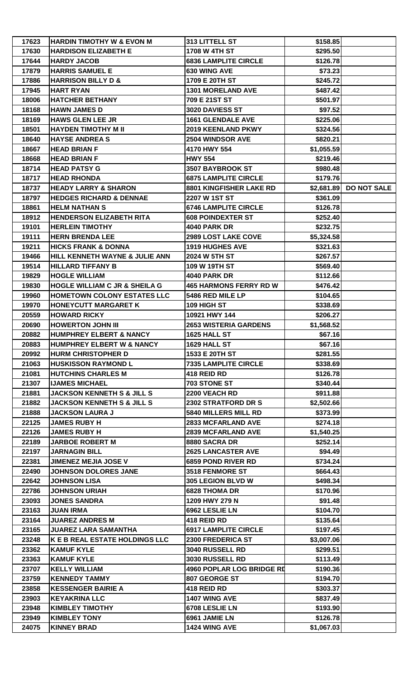| 17623 | <b>HARDIN TIMOTHY W &amp; EVON M</b>     | 313 LITTELL ST                | \$158.85   |                    |
|-------|------------------------------------------|-------------------------------|------------|--------------------|
| 17630 | <b>HARDISON ELIZABETH E</b>              | 1708 W 4TH ST                 | \$295.50   |                    |
| 17644 | <b>HARDY JACOB</b>                       | <b>6836 LAMPLITE CIRCLE</b>   | \$126.78   |                    |
| 17879 | <b>HARRIS SAMUEL E</b>                   | 630 WING AVE                  | \$73.23    |                    |
| 17886 | <b>HARRISON BILLY D &amp;</b>            | 1709 E 20TH ST                | \$245.72   |                    |
| 17945 | <b>HART RYAN</b>                         | <b>1301 MORELAND AVE</b>      | \$487.42   |                    |
| 18006 | <b>HATCHER BETHANY</b>                   | 709 E 21ST ST                 | \$501.97   |                    |
| 18168 | <b>HAWN JAMES D</b>                      | 3020 DAVIESS ST               | \$97.52    |                    |
| 18169 | <b>HAWS GLEN LEE JR</b>                  | <b>1661 GLENDALE AVE</b>      | \$225.06   |                    |
| 18501 | <b>HAYDEN TIMOTHY M II</b>               | 2019 KEENLAND PKWY            | \$324.56   |                    |
| 18640 | <b>HAYSE ANDREAS</b>                     | 2504 WINDSOR AVE              | \$820.21   |                    |
| 18667 | <b>HEAD BRIAN F</b>                      | 4170 HWY 554                  | \$1,055.59 |                    |
| 18668 | <b>HEAD BRIAN F</b>                      | <b>HWY 554</b>                | \$219.46   |                    |
| 18714 | <b>HEAD PATSY G</b>                      | 3507 BAYBROOK ST              | \$980.48   |                    |
| 18717 | <b>HEAD RHONDA</b>                       | <b>6875 LAMPLITE CIRCLE</b>   | \$179.76   |                    |
| 18737 | <b>HEADY LARRY &amp; SHARON</b>          | 8801 KINGFISHER LAKE RD       | \$2,681.89 | <b>DO NOT SALE</b> |
| 18797 | <b>HEDGES RICHARD &amp; DENNAE</b>       | 2207 W 1ST ST                 | \$361.09   |                    |
| 18861 | <b>HELM NATHAN S</b>                     | <b>6746 LAMPLITE CIRCLE</b>   | \$126.78   |                    |
| 18912 | <b>HENDERSON ELIZABETH RITA</b>          | <b>608 POINDEXTER ST</b>      | \$252.40   |                    |
| 19101 | <b>HERLEIN TIMOTHY</b>                   | <b>4040 PARK DR</b>           | \$232.75   |                    |
| 19111 | <b>HERN BRENDA LEE</b>                   | <b>2989 LOST LAKE COVE</b>    | \$5,324.58 |                    |
| 19211 | <b>HICKS FRANK &amp; DONNA</b>           | <b>1919 HUGHES AVE</b>        | \$321.63   |                    |
| 19466 | HILL KENNETH WAYNE & JULIE ANN           | 2024 W 5TH ST                 | \$267.57   |                    |
| 19514 | <b>HILLARD TIFFANY B</b>                 | 109 W 19TH ST                 | \$569.40   |                    |
| 19829 | <b>HOGLE WILLIAM</b>                     | <b>4040 PARK DR</b>           | \$112.66   |                    |
| 19830 | <b>HOGLE WILLIAM C JR &amp; SHEILA G</b> | <b>465 HARMONS FERRY RD W</b> |            |                    |
|       |                                          |                               | \$476.42   |                    |
| 19960 | <b>HOMETOWN COLONY ESTATES LLC</b>       | 5486 RED MILE LP              | \$104.65   |                    |
| 19970 | <b>HONEYCUTT MARGARET K</b>              | 109 HIGH ST                   | \$338.69   |                    |
| 20559 | <b>HOWARD RICKY</b>                      | 10921 HWY 144                 | \$206.27   |                    |
| 20690 | <b>HOWERTON JOHN III</b>                 | <b>2653 WISTERIA GARDENS</b>  | \$1,568.52 |                    |
| 20882 | <b>HUMPHREY ELBERT &amp; NANCY</b>       | <b>1625 HALL ST</b>           | \$67.16    |                    |
| 20883 | <b>HUMPHREY ELBERT W &amp; NANCY</b>     | 1629 HALL ST                  | \$67.16    |                    |
| 20992 | <b>HURM CHRISTOPHER D</b>                | 1533 E 20TH ST                | \$281.55   |                    |
| 21063 | <b>HUSKISSON RAYMOND L</b>               | <b>7335 LAMPLITE CIRCLE</b>   | \$338.69   |                    |
| 21081 | <b>HUTCHINS CHARLES M</b>                | 418 REID RD                   | \$126.78   |                    |
| 21307 | <b>IJAMES MICHAEL</b>                    | 703 STONE ST                  | \$340.44   |                    |
| 21881 | <b>JACKSON KENNETH S &amp; JILL S</b>    | 2200 VEACH RD                 | \$911.88   |                    |
| 21882 | <b>JACKSON KENNETH S &amp; JILL S</b>    | 2302 STRATFORD DR S           | \$2,502.66 |                    |
| 21888 | <b>JACKSON LAURA J</b>                   | 5840 MILLERS MILL RD          | \$373.99   |                    |
| 22125 | <b>JAMES RUBY H</b>                      | <b>2833 MCFARLAND AVE</b>     | \$274.18   |                    |
| 22126 | <b>JAMES RUBY H</b>                      | <b>2839 MCFARLAND AVE</b>     | \$1,540.25 |                    |
| 22189 | <b>JARBOE ROBERT M</b>                   | 8880 SACRA DR                 | \$252.14   |                    |
| 22197 | <b>JARNAGIN BILL</b>                     | <b>2625 LANCASTER AVE</b>     | \$94.49    |                    |
| 22381 | <b>JIMENEZ MEJIA JOSE V</b>              | 6859 POND RIVER RD            | \$734.24   |                    |
| 22490 | <b>JOHNSON DOLORES JANE</b>              | 3518 FENMORE ST               | \$664.43   |                    |
| 22642 | <b>JOHNSON LISA</b>                      | 305 LEGION BLVD W             | \$498.34   |                    |
| 22786 | <b>JOHNSON URIAH</b>                     | <b>6828 THOMA DR</b>          | \$170.96   |                    |
| 23093 | <b>JONES SANDRA</b>                      | 1209 HWY 279 N                | \$91.48    |                    |
| 23163 | <b>JUAN IRMA</b>                         | 6962 LESLIE LN                | \$104.70   |                    |
| 23164 | <b>JUAREZ ANDRES M</b>                   | 418 REID RD                   | \$135.64   |                    |
| 23165 | <b>JUAREZ LARA SAMANTHA</b>              | <b>6917 LAMPLITE CIRCLE</b>   | \$197.45   |                    |
| 23248 | K E B REAL ESTATE HOLDINGS LLC           | 2300 FREDERICA ST             | \$3,007.06 |                    |
| 23362 | <b>KAMUF KYLE</b>                        | 3040 RUSSELL RD               | \$299.51   |                    |
| 23363 | <b>KAMUF KYLE</b>                        | 3030 RUSSELL RD               | \$113.49   |                    |
| 23707 | <b>KELLY WILLIAM</b>                     | 4960 POPLAR LOG BRIDGE RD     | \$190.36   |                    |
| 23759 | <b>KENNEDY TAMMY</b>                     | 807 GEORGE ST                 | \$194.70   |                    |
| 23858 | <b>KESSENGER BAIRIE A</b>                | 418 REID RD                   | \$303.37   |                    |
| 23903 | <b>KEYAKRINA LLC</b>                     | 1407 WING AVE                 | \$837.49   |                    |
| 23948 | <b>KIMBLEY TIMOTHY</b>                   | 6708 LESLIE LN                | \$193.90   |                    |
| 23949 | <b>KIMBLEY TONY</b>                      | 6961 JAMIE LN                 | \$126.78   |                    |
| 24075 | <b>KINNEY BRAD</b>                       | 1424 WING AVE                 | \$1,067.03 |                    |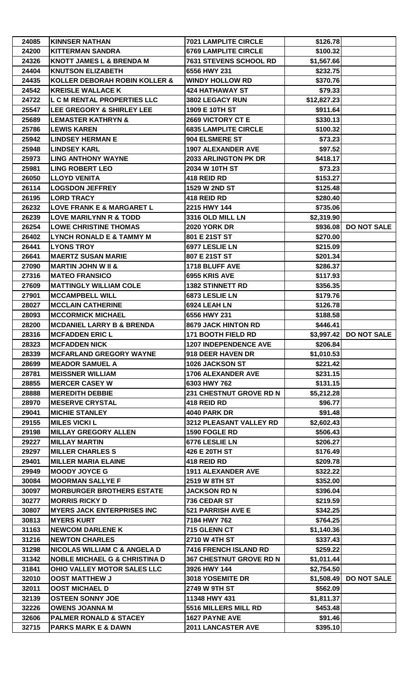| 24200<br><b>6769 LAMPLITE CIRCLE</b><br>\$100.32<br><b>KITTERMAN SANDRA</b><br>24326<br><b>KNOTT JAMES L &amp; BRENDA M</b><br>7631 STEVENS SCHOOL RD<br>\$1,567.66<br>24404<br><b>KNUTSON ELIZABETH</b><br>6556 HWY 231<br>\$232.75<br>24435<br>KOLLER DEBORAH ROBIN KOLLER &<br><b>WINDY HOLLOW RD</b><br>\$370.76<br>24542<br><b>KREISLE WALLACE K</b><br><b>424 HATHAWAY ST</b><br>\$79.33<br>24722<br>L C M RENTAL PROPERTIES LLC<br>3802 LEGACY RUN<br>\$12,827.23<br>\$911.64<br>25547<br><b>LEE GREGORY &amp; SHIRLEY LEE</b><br>1909 E 10TH ST<br>25689<br><b>LEMASTER KATHRYN &amp;</b><br>2669 VICTORY CT E<br>\$330.13<br>25786<br><b>LEWIS KAREN</b><br><b>6835 LAMPLITE CIRCLE</b><br>\$100.32<br>25942<br><b>LINDSEY HERMAN E</b><br>904 ELSMERE ST<br>\$73.23<br>25948<br><b>LINDSEY KARL</b><br><b>1907 ALEXANDER AVE</b><br>\$97.52<br>25973<br><b>LING ANTHONY WAYNE</b><br>2033 ARLINGTON PK DR<br>\$418.17<br><b>LING ROBERT LEO</b><br>2034 W 10TH ST<br>\$73.23<br>25981<br>26050<br><b>LLOYD VENITA</b><br>418 REID RD<br>\$153.27<br>26114<br><b>LOGSDON JEFFREY</b><br>1529 W 2ND ST<br>\$125.48<br><b>LORD TRACY</b><br>418 REID RD<br>\$280.40<br>26195<br>26232<br>LOVE FRANK E & MARGARET L<br>2215 HWY 144<br>\$735.06<br>3316 OLD MILL LN<br>26239<br><b>LOVE MARILYNN R &amp; TODD</b><br>\$2,319.90<br>\$936.08 DO NOT SALE<br>26254<br><b>LOWE CHRISTINE THOMAS</b><br><b>2020 YORK DR</b><br><b>LYNCH RONALD E &amp; TAMMY M</b><br>801 E 21ST ST<br>\$270.00<br>26402<br>26441<br><b>LYONS TROY</b><br>6977 LESLIE LN<br>\$215.09<br>26641<br><b>MAERTZ SUSAN MARIE</b><br>807 E 21ST ST<br>\$201.34<br>27090<br><b>MARTIN JOHN W II &amp;</b><br>1718 BLUFF AVE<br>\$286.37<br>27316<br><b>MATEO FRANSICO</b><br>6955 KRIS AVE<br>\$117.93<br><b>MATTINGLY WILLIAM COLE</b><br><b>1382 STINNETT RD</b><br>\$356.35<br>27609<br>27901<br><b>MCCAMPBELL WILL</b><br>6873 LESLIE LN<br>\$179.76<br><b>MCCLAIN CATHERINE</b><br>28027<br>6924 LEAH LN<br>\$126.78<br>28093<br><b>MCCORMICK MICHAEL</b><br>6556 HWY 231<br>\$188.58<br>28200<br><b>MCDANIEL LARRY B &amp; BRENDA</b><br>8679 JACK HINTON RD<br>\$446.41<br>28316<br><b>MCFADDEN ERIC L</b><br>\$3,997.42 DO NOT SALE<br><b>171 BOOTH FIELD RD</b><br><b>MCFADDEN NICK</b><br>28323<br><b>1207 INDEPENDENCE AVE</b><br>\$206.84<br>28339<br><b>MCFARLAND GREGORY WAYNE</b><br>\$1,010.53<br>918 DEER HAVEN DR<br>\$221.42<br>28699<br><b>MEADOR SAMUEL A</b><br>1026 JACKSON ST<br>28781<br><b>MEISSNER WILLIAM</b><br><b>1706 ALEXANDER AVE</b><br>\$231.15<br>28855<br><b>MERCER CASEY W</b><br>6303 HWY 762<br>\$131.15<br>28888<br><b>MEREDITH DEBBIE</b><br>231 CHESTNUT GROVE RD N<br>\$5,212.28<br><b>MESERVE CRYSTAL</b><br>418 REID RD<br>\$96.77<br>28970<br>29041<br><b>MICHIE STANLEY</b><br><b>4040 PARK DR</b><br>\$91.48<br>29155<br><b>MILES VICKI L</b><br>3212 PLEASANT VALLEY RD<br>\$2,602.43<br><b>MILLAY GREGORY ALLEN</b><br>1590 FOGLE RD<br>\$506.43<br>29198<br>29227<br><b>MILLAY MARTIN</b><br>6776 LESLIE LN<br>\$206.27<br>29297<br><b>MILLER CHARLES S</b><br>426 E 20TH ST<br>\$176.49<br><b>MILLER MARIA ELAINE</b><br>418 REID RD<br>\$209.78<br>29401<br>29949<br><b>MOODY JOYCE G</b><br><b>1911 ALEXANDER AVE</b><br>\$322.22<br>30084<br><b>MOORMAN SALLYE F</b><br>2519 W 8TH ST<br>\$352.00<br>30097<br><b>MORBURGER BROTHERS ESTATE</b><br><b>JACKSON RD N</b><br>\$396.04<br>30277<br><b>MORRIS RICKY D</b><br>736 CEDAR ST<br>\$219.59<br>30807<br><b>MYERS JACK ENTERPRISES INC</b><br>521 PARRISH AVE E<br>\$342.25<br><b>MYERS KURT</b><br>7184 HWY 762<br>30813<br>\$764.25<br>31163<br><b>NEWCOM DARLENE K</b><br>715 GLENN CT<br>\$1,140.36<br>31216<br><b>NEWTON CHARLES</b><br>2710 W 4TH ST<br>\$337.43<br>7416 FRENCH ISLAND RD<br>31298<br><b>NICOLAS WILLIAM C &amp; ANGELA D</b><br>\$259.22<br>31342<br><b>NOBLE MICHAEL G &amp; CHRISTINA D</b><br><b>367 CHESTNUT GROVE RD N</b><br>\$1,011.44<br>31841<br>OHIO VALLEY MOTOR SALES LLC<br>3926 HWY 144<br>\$2,754.50<br><b>DO NOT SALE</b><br>32010<br><b>OOST MATTHEW J</b><br>3018 YOSEMITE DR<br>\$1,508.49<br>32011<br><b>OOST MICHAEL D</b><br>2749 W 9TH ST<br>\$562.09<br><b>OSTEEN SONNY JOE</b><br>\$1,811.37<br>32139<br>11348 HWY 431<br>32226<br><b>OWENS JOANNA M</b><br>5516 MILLERS MILL RD<br>\$453.48<br>32606<br><b>PALMER RONALD &amp; STACEY</b><br>1627 PAYNE AVE<br>\$91.46<br>32715<br><b>PARKS MARK E &amp; DAWN</b><br><b>2011 LANCASTER AVE</b><br>\$395.10 | 24085 | <b>KINNSER NATHAN</b> | <b>7021 LAMPLITE CIRCLE</b> | \$126.78 |  |
|--------------------------------------------------------------------------------------------------------------------------------------------------------------------------------------------------------------------------------------------------------------------------------------------------------------------------------------------------------------------------------------------------------------------------------------------------------------------------------------------------------------------------------------------------------------------------------------------------------------------------------------------------------------------------------------------------------------------------------------------------------------------------------------------------------------------------------------------------------------------------------------------------------------------------------------------------------------------------------------------------------------------------------------------------------------------------------------------------------------------------------------------------------------------------------------------------------------------------------------------------------------------------------------------------------------------------------------------------------------------------------------------------------------------------------------------------------------------------------------------------------------------------------------------------------------------------------------------------------------------------------------------------------------------------------------------------------------------------------------------------------------------------------------------------------------------------------------------------------------------------------------------------------------------------------------------------------------------------------------------------------------------------------------------------------------------------------------------------------------------------------------------------------------------------------------------------------------------------------------------------------------------------------------------------------------------------------------------------------------------------------------------------------------------------------------------------------------------------------------------------------------------------------------------------------------------------------------------------------------------------------------------------------------------------------------------------------------------------------------------------------------------------------------------------------------------------------------------------------------------------------------------------------------------------------------------------------------------------------------------------------------------------------------------------------------------------------------------------------------------------------------------------------------------------------------------------------------------------------------------------------------------------------------------------------------------------------------------------------------------------------------------------------------------------------------------------------------------------------------------------------------------------------------------------------------------------------------------------------------------------------------------------------------------------------------------------------------------------------------------------------------------------------------------------------------------------------------------------------------------------------------------------------------------------------------------------------------------------------------------------------------------------------------------------------------------------------------------------------------------------------------------------------------------------------------------------------------------------------------------------------------------------------------------------------------------------------------------------------------------------------------------------------------------------------------------------------------------------------------------------|-------|-----------------------|-----------------------------|----------|--|
|                                                                                                                                                                                                                                                                                                                                                                                                                                                                                                                                                                                                                                                                                                                                                                                                                                                                                                                                                                                                                                                                                                                                                                                                                                                                                                                                                                                                                                                                                                                                                                                                                                                                                                                                                                                                                                                                                                                                                                                                                                                                                                                                                                                                                                                                                                                                                                                                                                                                                                                                                                                                                                                                                                                                                                                                                                                                                                                                                                                                                                                                                                                                                                                                                                                                                                                                                                                                                                                                                                                                                                                                                                                                                                                                                                                                                                                                                                                                                                                                                                                                                                                                                                                                                                                                                                                                                                                                                                                                                                  |       |                       |                             |          |  |
|                                                                                                                                                                                                                                                                                                                                                                                                                                                                                                                                                                                                                                                                                                                                                                                                                                                                                                                                                                                                                                                                                                                                                                                                                                                                                                                                                                                                                                                                                                                                                                                                                                                                                                                                                                                                                                                                                                                                                                                                                                                                                                                                                                                                                                                                                                                                                                                                                                                                                                                                                                                                                                                                                                                                                                                                                                                                                                                                                                                                                                                                                                                                                                                                                                                                                                                                                                                                                                                                                                                                                                                                                                                                                                                                                                                                                                                                                                                                                                                                                                                                                                                                                                                                                                                                                                                                                                                                                                                                                                  |       |                       |                             |          |  |
|                                                                                                                                                                                                                                                                                                                                                                                                                                                                                                                                                                                                                                                                                                                                                                                                                                                                                                                                                                                                                                                                                                                                                                                                                                                                                                                                                                                                                                                                                                                                                                                                                                                                                                                                                                                                                                                                                                                                                                                                                                                                                                                                                                                                                                                                                                                                                                                                                                                                                                                                                                                                                                                                                                                                                                                                                                                                                                                                                                                                                                                                                                                                                                                                                                                                                                                                                                                                                                                                                                                                                                                                                                                                                                                                                                                                                                                                                                                                                                                                                                                                                                                                                                                                                                                                                                                                                                                                                                                                                                  |       |                       |                             |          |  |
|                                                                                                                                                                                                                                                                                                                                                                                                                                                                                                                                                                                                                                                                                                                                                                                                                                                                                                                                                                                                                                                                                                                                                                                                                                                                                                                                                                                                                                                                                                                                                                                                                                                                                                                                                                                                                                                                                                                                                                                                                                                                                                                                                                                                                                                                                                                                                                                                                                                                                                                                                                                                                                                                                                                                                                                                                                                                                                                                                                                                                                                                                                                                                                                                                                                                                                                                                                                                                                                                                                                                                                                                                                                                                                                                                                                                                                                                                                                                                                                                                                                                                                                                                                                                                                                                                                                                                                                                                                                                                                  |       |                       |                             |          |  |
|                                                                                                                                                                                                                                                                                                                                                                                                                                                                                                                                                                                                                                                                                                                                                                                                                                                                                                                                                                                                                                                                                                                                                                                                                                                                                                                                                                                                                                                                                                                                                                                                                                                                                                                                                                                                                                                                                                                                                                                                                                                                                                                                                                                                                                                                                                                                                                                                                                                                                                                                                                                                                                                                                                                                                                                                                                                                                                                                                                                                                                                                                                                                                                                                                                                                                                                                                                                                                                                                                                                                                                                                                                                                                                                                                                                                                                                                                                                                                                                                                                                                                                                                                                                                                                                                                                                                                                                                                                                                                                  |       |                       |                             |          |  |
|                                                                                                                                                                                                                                                                                                                                                                                                                                                                                                                                                                                                                                                                                                                                                                                                                                                                                                                                                                                                                                                                                                                                                                                                                                                                                                                                                                                                                                                                                                                                                                                                                                                                                                                                                                                                                                                                                                                                                                                                                                                                                                                                                                                                                                                                                                                                                                                                                                                                                                                                                                                                                                                                                                                                                                                                                                                                                                                                                                                                                                                                                                                                                                                                                                                                                                                                                                                                                                                                                                                                                                                                                                                                                                                                                                                                                                                                                                                                                                                                                                                                                                                                                                                                                                                                                                                                                                                                                                                                                                  |       |                       |                             |          |  |
|                                                                                                                                                                                                                                                                                                                                                                                                                                                                                                                                                                                                                                                                                                                                                                                                                                                                                                                                                                                                                                                                                                                                                                                                                                                                                                                                                                                                                                                                                                                                                                                                                                                                                                                                                                                                                                                                                                                                                                                                                                                                                                                                                                                                                                                                                                                                                                                                                                                                                                                                                                                                                                                                                                                                                                                                                                                                                                                                                                                                                                                                                                                                                                                                                                                                                                                                                                                                                                                                                                                                                                                                                                                                                                                                                                                                                                                                                                                                                                                                                                                                                                                                                                                                                                                                                                                                                                                                                                                                                                  |       |                       |                             |          |  |
|                                                                                                                                                                                                                                                                                                                                                                                                                                                                                                                                                                                                                                                                                                                                                                                                                                                                                                                                                                                                                                                                                                                                                                                                                                                                                                                                                                                                                                                                                                                                                                                                                                                                                                                                                                                                                                                                                                                                                                                                                                                                                                                                                                                                                                                                                                                                                                                                                                                                                                                                                                                                                                                                                                                                                                                                                                                                                                                                                                                                                                                                                                                                                                                                                                                                                                                                                                                                                                                                                                                                                                                                                                                                                                                                                                                                                                                                                                                                                                                                                                                                                                                                                                                                                                                                                                                                                                                                                                                                                                  |       |                       |                             |          |  |
|                                                                                                                                                                                                                                                                                                                                                                                                                                                                                                                                                                                                                                                                                                                                                                                                                                                                                                                                                                                                                                                                                                                                                                                                                                                                                                                                                                                                                                                                                                                                                                                                                                                                                                                                                                                                                                                                                                                                                                                                                                                                                                                                                                                                                                                                                                                                                                                                                                                                                                                                                                                                                                                                                                                                                                                                                                                                                                                                                                                                                                                                                                                                                                                                                                                                                                                                                                                                                                                                                                                                                                                                                                                                                                                                                                                                                                                                                                                                                                                                                                                                                                                                                                                                                                                                                                                                                                                                                                                                                                  |       |                       |                             |          |  |
|                                                                                                                                                                                                                                                                                                                                                                                                                                                                                                                                                                                                                                                                                                                                                                                                                                                                                                                                                                                                                                                                                                                                                                                                                                                                                                                                                                                                                                                                                                                                                                                                                                                                                                                                                                                                                                                                                                                                                                                                                                                                                                                                                                                                                                                                                                                                                                                                                                                                                                                                                                                                                                                                                                                                                                                                                                                                                                                                                                                                                                                                                                                                                                                                                                                                                                                                                                                                                                                                                                                                                                                                                                                                                                                                                                                                                                                                                                                                                                                                                                                                                                                                                                                                                                                                                                                                                                                                                                                                                                  |       |                       |                             |          |  |
|                                                                                                                                                                                                                                                                                                                                                                                                                                                                                                                                                                                                                                                                                                                                                                                                                                                                                                                                                                                                                                                                                                                                                                                                                                                                                                                                                                                                                                                                                                                                                                                                                                                                                                                                                                                                                                                                                                                                                                                                                                                                                                                                                                                                                                                                                                                                                                                                                                                                                                                                                                                                                                                                                                                                                                                                                                                                                                                                                                                                                                                                                                                                                                                                                                                                                                                                                                                                                                                                                                                                                                                                                                                                                                                                                                                                                                                                                                                                                                                                                                                                                                                                                                                                                                                                                                                                                                                                                                                                                                  |       |                       |                             |          |  |
|                                                                                                                                                                                                                                                                                                                                                                                                                                                                                                                                                                                                                                                                                                                                                                                                                                                                                                                                                                                                                                                                                                                                                                                                                                                                                                                                                                                                                                                                                                                                                                                                                                                                                                                                                                                                                                                                                                                                                                                                                                                                                                                                                                                                                                                                                                                                                                                                                                                                                                                                                                                                                                                                                                                                                                                                                                                                                                                                                                                                                                                                                                                                                                                                                                                                                                                                                                                                                                                                                                                                                                                                                                                                                                                                                                                                                                                                                                                                                                                                                                                                                                                                                                                                                                                                                                                                                                                                                                                                                                  |       |                       |                             |          |  |
|                                                                                                                                                                                                                                                                                                                                                                                                                                                                                                                                                                                                                                                                                                                                                                                                                                                                                                                                                                                                                                                                                                                                                                                                                                                                                                                                                                                                                                                                                                                                                                                                                                                                                                                                                                                                                                                                                                                                                                                                                                                                                                                                                                                                                                                                                                                                                                                                                                                                                                                                                                                                                                                                                                                                                                                                                                                                                                                                                                                                                                                                                                                                                                                                                                                                                                                                                                                                                                                                                                                                                                                                                                                                                                                                                                                                                                                                                                                                                                                                                                                                                                                                                                                                                                                                                                                                                                                                                                                                                                  |       |                       |                             |          |  |
|                                                                                                                                                                                                                                                                                                                                                                                                                                                                                                                                                                                                                                                                                                                                                                                                                                                                                                                                                                                                                                                                                                                                                                                                                                                                                                                                                                                                                                                                                                                                                                                                                                                                                                                                                                                                                                                                                                                                                                                                                                                                                                                                                                                                                                                                                                                                                                                                                                                                                                                                                                                                                                                                                                                                                                                                                                                                                                                                                                                                                                                                                                                                                                                                                                                                                                                                                                                                                                                                                                                                                                                                                                                                                                                                                                                                                                                                                                                                                                                                                                                                                                                                                                                                                                                                                                                                                                                                                                                                                                  |       |                       |                             |          |  |
|                                                                                                                                                                                                                                                                                                                                                                                                                                                                                                                                                                                                                                                                                                                                                                                                                                                                                                                                                                                                                                                                                                                                                                                                                                                                                                                                                                                                                                                                                                                                                                                                                                                                                                                                                                                                                                                                                                                                                                                                                                                                                                                                                                                                                                                                                                                                                                                                                                                                                                                                                                                                                                                                                                                                                                                                                                                                                                                                                                                                                                                                                                                                                                                                                                                                                                                                                                                                                                                                                                                                                                                                                                                                                                                                                                                                                                                                                                                                                                                                                                                                                                                                                                                                                                                                                                                                                                                                                                                                                                  |       |                       |                             |          |  |
|                                                                                                                                                                                                                                                                                                                                                                                                                                                                                                                                                                                                                                                                                                                                                                                                                                                                                                                                                                                                                                                                                                                                                                                                                                                                                                                                                                                                                                                                                                                                                                                                                                                                                                                                                                                                                                                                                                                                                                                                                                                                                                                                                                                                                                                                                                                                                                                                                                                                                                                                                                                                                                                                                                                                                                                                                                                                                                                                                                                                                                                                                                                                                                                                                                                                                                                                                                                                                                                                                                                                                                                                                                                                                                                                                                                                                                                                                                                                                                                                                                                                                                                                                                                                                                                                                                                                                                                                                                                                                                  |       |                       |                             |          |  |
|                                                                                                                                                                                                                                                                                                                                                                                                                                                                                                                                                                                                                                                                                                                                                                                                                                                                                                                                                                                                                                                                                                                                                                                                                                                                                                                                                                                                                                                                                                                                                                                                                                                                                                                                                                                                                                                                                                                                                                                                                                                                                                                                                                                                                                                                                                                                                                                                                                                                                                                                                                                                                                                                                                                                                                                                                                                                                                                                                                                                                                                                                                                                                                                                                                                                                                                                                                                                                                                                                                                                                                                                                                                                                                                                                                                                                                                                                                                                                                                                                                                                                                                                                                                                                                                                                                                                                                                                                                                                                                  |       |                       |                             |          |  |
|                                                                                                                                                                                                                                                                                                                                                                                                                                                                                                                                                                                                                                                                                                                                                                                                                                                                                                                                                                                                                                                                                                                                                                                                                                                                                                                                                                                                                                                                                                                                                                                                                                                                                                                                                                                                                                                                                                                                                                                                                                                                                                                                                                                                                                                                                                                                                                                                                                                                                                                                                                                                                                                                                                                                                                                                                                                                                                                                                                                                                                                                                                                                                                                                                                                                                                                                                                                                                                                                                                                                                                                                                                                                                                                                                                                                                                                                                                                                                                                                                                                                                                                                                                                                                                                                                                                                                                                                                                                                                                  |       |                       |                             |          |  |
|                                                                                                                                                                                                                                                                                                                                                                                                                                                                                                                                                                                                                                                                                                                                                                                                                                                                                                                                                                                                                                                                                                                                                                                                                                                                                                                                                                                                                                                                                                                                                                                                                                                                                                                                                                                                                                                                                                                                                                                                                                                                                                                                                                                                                                                                                                                                                                                                                                                                                                                                                                                                                                                                                                                                                                                                                                                                                                                                                                                                                                                                                                                                                                                                                                                                                                                                                                                                                                                                                                                                                                                                                                                                                                                                                                                                                                                                                                                                                                                                                                                                                                                                                                                                                                                                                                                                                                                                                                                                                                  |       |                       |                             |          |  |
|                                                                                                                                                                                                                                                                                                                                                                                                                                                                                                                                                                                                                                                                                                                                                                                                                                                                                                                                                                                                                                                                                                                                                                                                                                                                                                                                                                                                                                                                                                                                                                                                                                                                                                                                                                                                                                                                                                                                                                                                                                                                                                                                                                                                                                                                                                                                                                                                                                                                                                                                                                                                                                                                                                                                                                                                                                                                                                                                                                                                                                                                                                                                                                                                                                                                                                                                                                                                                                                                                                                                                                                                                                                                                                                                                                                                                                                                                                                                                                                                                                                                                                                                                                                                                                                                                                                                                                                                                                                                                                  |       |                       |                             |          |  |
|                                                                                                                                                                                                                                                                                                                                                                                                                                                                                                                                                                                                                                                                                                                                                                                                                                                                                                                                                                                                                                                                                                                                                                                                                                                                                                                                                                                                                                                                                                                                                                                                                                                                                                                                                                                                                                                                                                                                                                                                                                                                                                                                                                                                                                                                                                                                                                                                                                                                                                                                                                                                                                                                                                                                                                                                                                                                                                                                                                                                                                                                                                                                                                                                                                                                                                                                                                                                                                                                                                                                                                                                                                                                                                                                                                                                                                                                                                                                                                                                                                                                                                                                                                                                                                                                                                                                                                                                                                                                                                  |       |                       |                             |          |  |
|                                                                                                                                                                                                                                                                                                                                                                                                                                                                                                                                                                                                                                                                                                                                                                                                                                                                                                                                                                                                                                                                                                                                                                                                                                                                                                                                                                                                                                                                                                                                                                                                                                                                                                                                                                                                                                                                                                                                                                                                                                                                                                                                                                                                                                                                                                                                                                                                                                                                                                                                                                                                                                                                                                                                                                                                                                                                                                                                                                                                                                                                                                                                                                                                                                                                                                                                                                                                                                                                                                                                                                                                                                                                                                                                                                                                                                                                                                                                                                                                                                                                                                                                                                                                                                                                                                                                                                                                                                                                                                  |       |                       |                             |          |  |
|                                                                                                                                                                                                                                                                                                                                                                                                                                                                                                                                                                                                                                                                                                                                                                                                                                                                                                                                                                                                                                                                                                                                                                                                                                                                                                                                                                                                                                                                                                                                                                                                                                                                                                                                                                                                                                                                                                                                                                                                                                                                                                                                                                                                                                                                                                                                                                                                                                                                                                                                                                                                                                                                                                                                                                                                                                                                                                                                                                                                                                                                                                                                                                                                                                                                                                                                                                                                                                                                                                                                                                                                                                                                                                                                                                                                                                                                                                                                                                                                                                                                                                                                                                                                                                                                                                                                                                                                                                                                                                  |       |                       |                             |          |  |
|                                                                                                                                                                                                                                                                                                                                                                                                                                                                                                                                                                                                                                                                                                                                                                                                                                                                                                                                                                                                                                                                                                                                                                                                                                                                                                                                                                                                                                                                                                                                                                                                                                                                                                                                                                                                                                                                                                                                                                                                                                                                                                                                                                                                                                                                                                                                                                                                                                                                                                                                                                                                                                                                                                                                                                                                                                                                                                                                                                                                                                                                                                                                                                                                                                                                                                                                                                                                                                                                                                                                                                                                                                                                                                                                                                                                                                                                                                                                                                                                                                                                                                                                                                                                                                                                                                                                                                                                                                                                                                  |       |                       |                             |          |  |
|                                                                                                                                                                                                                                                                                                                                                                                                                                                                                                                                                                                                                                                                                                                                                                                                                                                                                                                                                                                                                                                                                                                                                                                                                                                                                                                                                                                                                                                                                                                                                                                                                                                                                                                                                                                                                                                                                                                                                                                                                                                                                                                                                                                                                                                                                                                                                                                                                                                                                                                                                                                                                                                                                                                                                                                                                                                                                                                                                                                                                                                                                                                                                                                                                                                                                                                                                                                                                                                                                                                                                                                                                                                                                                                                                                                                                                                                                                                                                                                                                                                                                                                                                                                                                                                                                                                                                                                                                                                                                                  |       |                       |                             |          |  |
|                                                                                                                                                                                                                                                                                                                                                                                                                                                                                                                                                                                                                                                                                                                                                                                                                                                                                                                                                                                                                                                                                                                                                                                                                                                                                                                                                                                                                                                                                                                                                                                                                                                                                                                                                                                                                                                                                                                                                                                                                                                                                                                                                                                                                                                                                                                                                                                                                                                                                                                                                                                                                                                                                                                                                                                                                                                                                                                                                                                                                                                                                                                                                                                                                                                                                                                                                                                                                                                                                                                                                                                                                                                                                                                                                                                                                                                                                                                                                                                                                                                                                                                                                                                                                                                                                                                                                                                                                                                                                                  |       |                       |                             |          |  |
|                                                                                                                                                                                                                                                                                                                                                                                                                                                                                                                                                                                                                                                                                                                                                                                                                                                                                                                                                                                                                                                                                                                                                                                                                                                                                                                                                                                                                                                                                                                                                                                                                                                                                                                                                                                                                                                                                                                                                                                                                                                                                                                                                                                                                                                                                                                                                                                                                                                                                                                                                                                                                                                                                                                                                                                                                                                                                                                                                                                                                                                                                                                                                                                                                                                                                                                                                                                                                                                                                                                                                                                                                                                                                                                                                                                                                                                                                                                                                                                                                                                                                                                                                                                                                                                                                                                                                                                                                                                                                                  |       |                       |                             |          |  |
|                                                                                                                                                                                                                                                                                                                                                                                                                                                                                                                                                                                                                                                                                                                                                                                                                                                                                                                                                                                                                                                                                                                                                                                                                                                                                                                                                                                                                                                                                                                                                                                                                                                                                                                                                                                                                                                                                                                                                                                                                                                                                                                                                                                                                                                                                                                                                                                                                                                                                                                                                                                                                                                                                                                                                                                                                                                                                                                                                                                                                                                                                                                                                                                                                                                                                                                                                                                                                                                                                                                                                                                                                                                                                                                                                                                                                                                                                                                                                                                                                                                                                                                                                                                                                                                                                                                                                                                                                                                                                                  |       |                       |                             |          |  |
|                                                                                                                                                                                                                                                                                                                                                                                                                                                                                                                                                                                                                                                                                                                                                                                                                                                                                                                                                                                                                                                                                                                                                                                                                                                                                                                                                                                                                                                                                                                                                                                                                                                                                                                                                                                                                                                                                                                                                                                                                                                                                                                                                                                                                                                                                                                                                                                                                                                                                                                                                                                                                                                                                                                                                                                                                                                                                                                                                                                                                                                                                                                                                                                                                                                                                                                                                                                                                                                                                                                                                                                                                                                                                                                                                                                                                                                                                                                                                                                                                                                                                                                                                                                                                                                                                                                                                                                                                                                                                                  |       |                       |                             |          |  |
|                                                                                                                                                                                                                                                                                                                                                                                                                                                                                                                                                                                                                                                                                                                                                                                                                                                                                                                                                                                                                                                                                                                                                                                                                                                                                                                                                                                                                                                                                                                                                                                                                                                                                                                                                                                                                                                                                                                                                                                                                                                                                                                                                                                                                                                                                                                                                                                                                                                                                                                                                                                                                                                                                                                                                                                                                                                                                                                                                                                                                                                                                                                                                                                                                                                                                                                                                                                                                                                                                                                                                                                                                                                                                                                                                                                                                                                                                                                                                                                                                                                                                                                                                                                                                                                                                                                                                                                                                                                                                                  |       |                       |                             |          |  |
|                                                                                                                                                                                                                                                                                                                                                                                                                                                                                                                                                                                                                                                                                                                                                                                                                                                                                                                                                                                                                                                                                                                                                                                                                                                                                                                                                                                                                                                                                                                                                                                                                                                                                                                                                                                                                                                                                                                                                                                                                                                                                                                                                                                                                                                                                                                                                                                                                                                                                                                                                                                                                                                                                                                                                                                                                                                                                                                                                                                                                                                                                                                                                                                                                                                                                                                                                                                                                                                                                                                                                                                                                                                                                                                                                                                                                                                                                                                                                                                                                                                                                                                                                                                                                                                                                                                                                                                                                                                                                                  |       |                       |                             |          |  |
|                                                                                                                                                                                                                                                                                                                                                                                                                                                                                                                                                                                                                                                                                                                                                                                                                                                                                                                                                                                                                                                                                                                                                                                                                                                                                                                                                                                                                                                                                                                                                                                                                                                                                                                                                                                                                                                                                                                                                                                                                                                                                                                                                                                                                                                                                                                                                                                                                                                                                                                                                                                                                                                                                                                                                                                                                                                                                                                                                                                                                                                                                                                                                                                                                                                                                                                                                                                                                                                                                                                                                                                                                                                                                                                                                                                                                                                                                                                                                                                                                                                                                                                                                                                                                                                                                                                                                                                                                                                                                                  |       |                       |                             |          |  |
|                                                                                                                                                                                                                                                                                                                                                                                                                                                                                                                                                                                                                                                                                                                                                                                                                                                                                                                                                                                                                                                                                                                                                                                                                                                                                                                                                                                                                                                                                                                                                                                                                                                                                                                                                                                                                                                                                                                                                                                                                                                                                                                                                                                                                                                                                                                                                                                                                                                                                                                                                                                                                                                                                                                                                                                                                                                                                                                                                                                                                                                                                                                                                                                                                                                                                                                                                                                                                                                                                                                                                                                                                                                                                                                                                                                                                                                                                                                                                                                                                                                                                                                                                                                                                                                                                                                                                                                                                                                                                                  |       |                       |                             |          |  |
|                                                                                                                                                                                                                                                                                                                                                                                                                                                                                                                                                                                                                                                                                                                                                                                                                                                                                                                                                                                                                                                                                                                                                                                                                                                                                                                                                                                                                                                                                                                                                                                                                                                                                                                                                                                                                                                                                                                                                                                                                                                                                                                                                                                                                                                                                                                                                                                                                                                                                                                                                                                                                                                                                                                                                                                                                                                                                                                                                                                                                                                                                                                                                                                                                                                                                                                                                                                                                                                                                                                                                                                                                                                                                                                                                                                                                                                                                                                                                                                                                                                                                                                                                                                                                                                                                                                                                                                                                                                                                                  |       |                       |                             |          |  |
|                                                                                                                                                                                                                                                                                                                                                                                                                                                                                                                                                                                                                                                                                                                                                                                                                                                                                                                                                                                                                                                                                                                                                                                                                                                                                                                                                                                                                                                                                                                                                                                                                                                                                                                                                                                                                                                                                                                                                                                                                                                                                                                                                                                                                                                                                                                                                                                                                                                                                                                                                                                                                                                                                                                                                                                                                                                                                                                                                                                                                                                                                                                                                                                                                                                                                                                                                                                                                                                                                                                                                                                                                                                                                                                                                                                                                                                                                                                                                                                                                                                                                                                                                                                                                                                                                                                                                                                                                                                                                                  |       |                       |                             |          |  |
|                                                                                                                                                                                                                                                                                                                                                                                                                                                                                                                                                                                                                                                                                                                                                                                                                                                                                                                                                                                                                                                                                                                                                                                                                                                                                                                                                                                                                                                                                                                                                                                                                                                                                                                                                                                                                                                                                                                                                                                                                                                                                                                                                                                                                                                                                                                                                                                                                                                                                                                                                                                                                                                                                                                                                                                                                                                                                                                                                                                                                                                                                                                                                                                                                                                                                                                                                                                                                                                                                                                                                                                                                                                                                                                                                                                                                                                                                                                                                                                                                                                                                                                                                                                                                                                                                                                                                                                                                                                                                                  |       |                       |                             |          |  |
|                                                                                                                                                                                                                                                                                                                                                                                                                                                                                                                                                                                                                                                                                                                                                                                                                                                                                                                                                                                                                                                                                                                                                                                                                                                                                                                                                                                                                                                                                                                                                                                                                                                                                                                                                                                                                                                                                                                                                                                                                                                                                                                                                                                                                                                                                                                                                                                                                                                                                                                                                                                                                                                                                                                                                                                                                                                                                                                                                                                                                                                                                                                                                                                                                                                                                                                                                                                                                                                                                                                                                                                                                                                                                                                                                                                                                                                                                                                                                                                                                                                                                                                                                                                                                                                                                                                                                                                                                                                                                                  |       |                       |                             |          |  |
|                                                                                                                                                                                                                                                                                                                                                                                                                                                                                                                                                                                                                                                                                                                                                                                                                                                                                                                                                                                                                                                                                                                                                                                                                                                                                                                                                                                                                                                                                                                                                                                                                                                                                                                                                                                                                                                                                                                                                                                                                                                                                                                                                                                                                                                                                                                                                                                                                                                                                                                                                                                                                                                                                                                                                                                                                                                                                                                                                                                                                                                                                                                                                                                                                                                                                                                                                                                                                                                                                                                                                                                                                                                                                                                                                                                                                                                                                                                                                                                                                                                                                                                                                                                                                                                                                                                                                                                                                                                                                                  |       |                       |                             |          |  |
|                                                                                                                                                                                                                                                                                                                                                                                                                                                                                                                                                                                                                                                                                                                                                                                                                                                                                                                                                                                                                                                                                                                                                                                                                                                                                                                                                                                                                                                                                                                                                                                                                                                                                                                                                                                                                                                                                                                                                                                                                                                                                                                                                                                                                                                                                                                                                                                                                                                                                                                                                                                                                                                                                                                                                                                                                                                                                                                                                                                                                                                                                                                                                                                                                                                                                                                                                                                                                                                                                                                                                                                                                                                                                                                                                                                                                                                                                                                                                                                                                                                                                                                                                                                                                                                                                                                                                                                                                                                                                                  |       |                       |                             |          |  |
|                                                                                                                                                                                                                                                                                                                                                                                                                                                                                                                                                                                                                                                                                                                                                                                                                                                                                                                                                                                                                                                                                                                                                                                                                                                                                                                                                                                                                                                                                                                                                                                                                                                                                                                                                                                                                                                                                                                                                                                                                                                                                                                                                                                                                                                                                                                                                                                                                                                                                                                                                                                                                                                                                                                                                                                                                                                                                                                                                                                                                                                                                                                                                                                                                                                                                                                                                                                                                                                                                                                                                                                                                                                                                                                                                                                                                                                                                                                                                                                                                                                                                                                                                                                                                                                                                                                                                                                                                                                                                                  |       |                       |                             |          |  |
|                                                                                                                                                                                                                                                                                                                                                                                                                                                                                                                                                                                                                                                                                                                                                                                                                                                                                                                                                                                                                                                                                                                                                                                                                                                                                                                                                                                                                                                                                                                                                                                                                                                                                                                                                                                                                                                                                                                                                                                                                                                                                                                                                                                                                                                                                                                                                                                                                                                                                                                                                                                                                                                                                                                                                                                                                                                                                                                                                                                                                                                                                                                                                                                                                                                                                                                                                                                                                                                                                                                                                                                                                                                                                                                                                                                                                                                                                                                                                                                                                                                                                                                                                                                                                                                                                                                                                                                                                                                                                                  |       |                       |                             |          |  |
|                                                                                                                                                                                                                                                                                                                                                                                                                                                                                                                                                                                                                                                                                                                                                                                                                                                                                                                                                                                                                                                                                                                                                                                                                                                                                                                                                                                                                                                                                                                                                                                                                                                                                                                                                                                                                                                                                                                                                                                                                                                                                                                                                                                                                                                                                                                                                                                                                                                                                                                                                                                                                                                                                                                                                                                                                                                                                                                                                                                                                                                                                                                                                                                                                                                                                                                                                                                                                                                                                                                                                                                                                                                                                                                                                                                                                                                                                                                                                                                                                                                                                                                                                                                                                                                                                                                                                                                                                                                                                                  |       |                       |                             |          |  |
|                                                                                                                                                                                                                                                                                                                                                                                                                                                                                                                                                                                                                                                                                                                                                                                                                                                                                                                                                                                                                                                                                                                                                                                                                                                                                                                                                                                                                                                                                                                                                                                                                                                                                                                                                                                                                                                                                                                                                                                                                                                                                                                                                                                                                                                                                                                                                                                                                                                                                                                                                                                                                                                                                                                                                                                                                                                                                                                                                                                                                                                                                                                                                                                                                                                                                                                                                                                                                                                                                                                                                                                                                                                                                                                                                                                                                                                                                                                                                                                                                                                                                                                                                                                                                                                                                                                                                                                                                                                                                                  |       |                       |                             |          |  |
|                                                                                                                                                                                                                                                                                                                                                                                                                                                                                                                                                                                                                                                                                                                                                                                                                                                                                                                                                                                                                                                                                                                                                                                                                                                                                                                                                                                                                                                                                                                                                                                                                                                                                                                                                                                                                                                                                                                                                                                                                                                                                                                                                                                                                                                                                                                                                                                                                                                                                                                                                                                                                                                                                                                                                                                                                                                                                                                                                                                                                                                                                                                                                                                                                                                                                                                                                                                                                                                                                                                                                                                                                                                                                                                                                                                                                                                                                                                                                                                                                                                                                                                                                                                                                                                                                                                                                                                                                                                                                                  |       |                       |                             |          |  |
|                                                                                                                                                                                                                                                                                                                                                                                                                                                                                                                                                                                                                                                                                                                                                                                                                                                                                                                                                                                                                                                                                                                                                                                                                                                                                                                                                                                                                                                                                                                                                                                                                                                                                                                                                                                                                                                                                                                                                                                                                                                                                                                                                                                                                                                                                                                                                                                                                                                                                                                                                                                                                                                                                                                                                                                                                                                                                                                                                                                                                                                                                                                                                                                                                                                                                                                                                                                                                                                                                                                                                                                                                                                                                                                                                                                                                                                                                                                                                                                                                                                                                                                                                                                                                                                                                                                                                                                                                                                                                                  |       |                       |                             |          |  |
|                                                                                                                                                                                                                                                                                                                                                                                                                                                                                                                                                                                                                                                                                                                                                                                                                                                                                                                                                                                                                                                                                                                                                                                                                                                                                                                                                                                                                                                                                                                                                                                                                                                                                                                                                                                                                                                                                                                                                                                                                                                                                                                                                                                                                                                                                                                                                                                                                                                                                                                                                                                                                                                                                                                                                                                                                                                                                                                                                                                                                                                                                                                                                                                                                                                                                                                                                                                                                                                                                                                                                                                                                                                                                                                                                                                                                                                                                                                                                                                                                                                                                                                                                                                                                                                                                                                                                                                                                                                                                                  |       |                       |                             |          |  |
|                                                                                                                                                                                                                                                                                                                                                                                                                                                                                                                                                                                                                                                                                                                                                                                                                                                                                                                                                                                                                                                                                                                                                                                                                                                                                                                                                                                                                                                                                                                                                                                                                                                                                                                                                                                                                                                                                                                                                                                                                                                                                                                                                                                                                                                                                                                                                                                                                                                                                                                                                                                                                                                                                                                                                                                                                                                                                                                                                                                                                                                                                                                                                                                                                                                                                                                                                                                                                                                                                                                                                                                                                                                                                                                                                                                                                                                                                                                                                                                                                                                                                                                                                                                                                                                                                                                                                                                                                                                                                                  |       |                       |                             |          |  |
|                                                                                                                                                                                                                                                                                                                                                                                                                                                                                                                                                                                                                                                                                                                                                                                                                                                                                                                                                                                                                                                                                                                                                                                                                                                                                                                                                                                                                                                                                                                                                                                                                                                                                                                                                                                                                                                                                                                                                                                                                                                                                                                                                                                                                                                                                                                                                                                                                                                                                                                                                                                                                                                                                                                                                                                                                                                                                                                                                                                                                                                                                                                                                                                                                                                                                                                                                                                                                                                                                                                                                                                                                                                                                                                                                                                                                                                                                                                                                                                                                                                                                                                                                                                                                                                                                                                                                                                                                                                                                                  |       |                       |                             |          |  |
|                                                                                                                                                                                                                                                                                                                                                                                                                                                                                                                                                                                                                                                                                                                                                                                                                                                                                                                                                                                                                                                                                                                                                                                                                                                                                                                                                                                                                                                                                                                                                                                                                                                                                                                                                                                                                                                                                                                                                                                                                                                                                                                                                                                                                                                                                                                                                                                                                                                                                                                                                                                                                                                                                                                                                                                                                                                                                                                                                                                                                                                                                                                                                                                                                                                                                                                                                                                                                                                                                                                                                                                                                                                                                                                                                                                                                                                                                                                                                                                                                                                                                                                                                                                                                                                                                                                                                                                                                                                                                                  |       |                       |                             |          |  |
|                                                                                                                                                                                                                                                                                                                                                                                                                                                                                                                                                                                                                                                                                                                                                                                                                                                                                                                                                                                                                                                                                                                                                                                                                                                                                                                                                                                                                                                                                                                                                                                                                                                                                                                                                                                                                                                                                                                                                                                                                                                                                                                                                                                                                                                                                                                                                                                                                                                                                                                                                                                                                                                                                                                                                                                                                                                                                                                                                                                                                                                                                                                                                                                                                                                                                                                                                                                                                                                                                                                                                                                                                                                                                                                                                                                                                                                                                                                                                                                                                                                                                                                                                                                                                                                                                                                                                                                                                                                                                                  |       |                       |                             |          |  |
|                                                                                                                                                                                                                                                                                                                                                                                                                                                                                                                                                                                                                                                                                                                                                                                                                                                                                                                                                                                                                                                                                                                                                                                                                                                                                                                                                                                                                                                                                                                                                                                                                                                                                                                                                                                                                                                                                                                                                                                                                                                                                                                                                                                                                                                                                                                                                                                                                                                                                                                                                                                                                                                                                                                                                                                                                                                                                                                                                                                                                                                                                                                                                                                                                                                                                                                                                                                                                                                                                                                                                                                                                                                                                                                                                                                                                                                                                                                                                                                                                                                                                                                                                                                                                                                                                                                                                                                                                                                                                                  |       |                       |                             |          |  |
|                                                                                                                                                                                                                                                                                                                                                                                                                                                                                                                                                                                                                                                                                                                                                                                                                                                                                                                                                                                                                                                                                                                                                                                                                                                                                                                                                                                                                                                                                                                                                                                                                                                                                                                                                                                                                                                                                                                                                                                                                                                                                                                                                                                                                                                                                                                                                                                                                                                                                                                                                                                                                                                                                                                                                                                                                                                                                                                                                                                                                                                                                                                                                                                                                                                                                                                                                                                                                                                                                                                                                                                                                                                                                                                                                                                                                                                                                                                                                                                                                                                                                                                                                                                                                                                                                                                                                                                                                                                                                                  |       |                       |                             |          |  |
|                                                                                                                                                                                                                                                                                                                                                                                                                                                                                                                                                                                                                                                                                                                                                                                                                                                                                                                                                                                                                                                                                                                                                                                                                                                                                                                                                                                                                                                                                                                                                                                                                                                                                                                                                                                                                                                                                                                                                                                                                                                                                                                                                                                                                                                                                                                                                                                                                                                                                                                                                                                                                                                                                                                                                                                                                                                                                                                                                                                                                                                                                                                                                                                                                                                                                                                                                                                                                                                                                                                                                                                                                                                                                                                                                                                                                                                                                                                                                                                                                                                                                                                                                                                                                                                                                                                                                                                                                                                                                                  |       |                       |                             |          |  |
|                                                                                                                                                                                                                                                                                                                                                                                                                                                                                                                                                                                                                                                                                                                                                                                                                                                                                                                                                                                                                                                                                                                                                                                                                                                                                                                                                                                                                                                                                                                                                                                                                                                                                                                                                                                                                                                                                                                                                                                                                                                                                                                                                                                                                                                                                                                                                                                                                                                                                                                                                                                                                                                                                                                                                                                                                                                                                                                                                                                                                                                                                                                                                                                                                                                                                                                                                                                                                                                                                                                                                                                                                                                                                                                                                                                                                                                                                                                                                                                                                                                                                                                                                                                                                                                                                                                                                                                                                                                                                                  |       |                       |                             |          |  |
|                                                                                                                                                                                                                                                                                                                                                                                                                                                                                                                                                                                                                                                                                                                                                                                                                                                                                                                                                                                                                                                                                                                                                                                                                                                                                                                                                                                                                                                                                                                                                                                                                                                                                                                                                                                                                                                                                                                                                                                                                                                                                                                                                                                                                                                                                                                                                                                                                                                                                                                                                                                                                                                                                                                                                                                                                                                                                                                                                                                                                                                                                                                                                                                                                                                                                                                                                                                                                                                                                                                                                                                                                                                                                                                                                                                                                                                                                                                                                                                                                                                                                                                                                                                                                                                                                                                                                                                                                                                                                                  |       |                       |                             |          |  |
|                                                                                                                                                                                                                                                                                                                                                                                                                                                                                                                                                                                                                                                                                                                                                                                                                                                                                                                                                                                                                                                                                                                                                                                                                                                                                                                                                                                                                                                                                                                                                                                                                                                                                                                                                                                                                                                                                                                                                                                                                                                                                                                                                                                                                                                                                                                                                                                                                                                                                                                                                                                                                                                                                                                                                                                                                                                                                                                                                                                                                                                                                                                                                                                                                                                                                                                                                                                                                                                                                                                                                                                                                                                                                                                                                                                                                                                                                                                                                                                                                                                                                                                                                                                                                                                                                                                                                                                                                                                                                                  |       |                       |                             |          |  |
|                                                                                                                                                                                                                                                                                                                                                                                                                                                                                                                                                                                                                                                                                                                                                                                                                                                                                                                                                                                                                                                                                                                                                                                                                                                                                                                                                                                                                                                                                                                                                                                                                                                                                                                                                                                                                                                                                                                                                                                                                                                                                                                                                                                                                                                                                                                                                                                                                                                                                                                                                                                                                                                                                                                                                                                                                                                                                                                                                                                                                                                                                                                                                                                                                                                                                                                                                                                                                                                                                                                                                                                                                                                                                                                                                                                                                                                                                                                                                                                                                                                                                                                                                                                                                                                                                                                                                                                                                                                                                                  |       |                       |                             |          |  |
|                                                                                                                                                                                                                                                                                                                                                                                                                                                                                                                                                                                                                                                                                                                                                                                                                                                                                                                                                                                                                                                                                                                                                                                                                                                                                                                                                                                                                                                                                                                                                                                                                                                                                                                                                                                                                                                                                                                                                                                                                                                                                                                                                                                                                                                                                                                                                                                                                                                                                                                                                                                                                                                                                                                                                                                                                                                                                                                                                                                                                                                                                                                                                                                                                                                                                                                                                                                                                                                                                                                                                                                                                                                                                                                                                                                                                                                                                                                                                                                                                                                                                                                                                                                                                                                                                                                                                                                                                                                                                                  |       |                       |                             |          |  |
|                                                                                                                                                                                                                                                                                                                                                                                                                                                                                                                                                                                                                                                                                                                                                                                                                                                                                                                                                                                                                                                                                                                                                                                                                                                                                                                                                                                                                                                                                                                                                                                                                                                                                                                                                                                                                                                                                                                                                                                                                                                                                                                                                                                                                                                                                                                                                                                                                                                                                                                                                                                                                                                                                                                                                                                                                                                                                                                                                                                                                                                                                                                                                                                                                                                                                                                                                                                                                                                                                                                                                                                                                                                                                                                                                                                                                                                                                                                                                                                                                                                                                                                                                                                                                                                                                                                                                                                                                                                                                                  |       |                       |                             |          |  |
|                                                                                                                                                                                                                                                                                                                                                                                                                                                                                                                                                                                                                                                                                                                                                                                                                                                                                                                                                                                                                                                                                                                                                                                                                                                                                                                                                                                                                                                                                                                                                                                                                                                                                                                                                                                                                                                                                                                                                                                                                                                                                                                                                                                                                                                                                                                                                                                                                                                                                                                                                                                                                                                                                                                                                                                                                                                                                                                                                                                                                                                                                                                                                                                                                                                                                                                                                                                                                                                                                                                                                                                                                                                                                                                                                                                                                                                                                                                                                                                                                                                                                                                                                                                                                                                                                                                                                                                                                                                                                                  |       |                       |                             |          |  |
|                                                                                                                                                                                                                                                                                                                                                                                                                                                                                                                                                                                                                                                                                                                                                                                                                                                                                                                                                                                                                                                                                                                                                                                                                                                                                                                                                                                                                                                                                                                                                                                                                                                                                                                                                                                                                                                                                                                                                                                                                                                                                                                                                                                                                                                                                                                                                                                                                                                                                                                                                                                                                                                                                                                                                                                                                                                                                                                                                                                                                                                                                                                                                                                                                                                                                                                                                                                                                                                                                                                                                                                                                                                                                                                                                                                                                                                                                                                                                                                                                                                                                                                                                                                                                                                                                                                                                                                                                                                                                                  |       |                       |                             |          |  |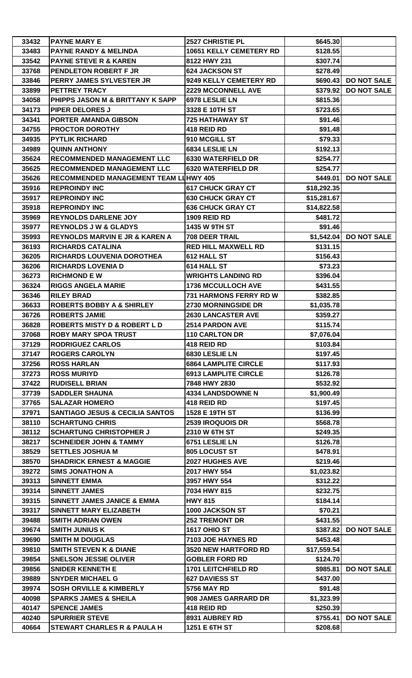| 33432 | <b>PAYNE MARY E</b>                          | 2527 CHRISTIE PL               | \$645.30    |                        |
|-------|----------------------------------------------|--------------------------------|-------------|------------------------|
| 33483 | <b>PAYNE RANDY &amp; MELINDA</b>             | <b>10651 KELLY CEMETERY RD</b> | \$128.55    |                        |
| 33542 | <b>PAYNE STEVE R &amp; KAREN</b>             | 8122 HWY 231                   | \$307.74    |                        |
| 33768 | PENDLETON ROBERT F JR                        | <b>624 JACKSON ST</b>          | \$278.49    |                        |
| 33846 | PERRY JAMES SYLVESTER JR                     | 9249 KELLY CEMETERY RD         |             | \$690.43 DO NOT SALE   |
| 33899 | <b>PETTREY TRACY</b>                         | <b>2229 MCCONNELL AVE</b>      | \$379.92    | <b>DO NOT SALE</b>     |
| 34058 | PHIPPS JASON M & BRITTANY K SAPP             | 6978 LESLIE LN                 | \$815.36    |                        |
| 34173 | <b>PIPER DELORES J</b>                       | 3328 E 10TH ST                 | \$723.65    |                        |
| 34341 | <b>PORTER AMANDA GIBSON</b>                  | <b>725 HATHAWAY ST</b>         | \$91.46     |                        |
| 34755 | <b>PROCTOR DOROTHY</b>                       | 418 REID RD                    | \$91.48     |                        |
| 34935 | <b>PYTLIK RICHARD</b>                        | 910 MCGILL ST                  | \$79.33     |                        |
| 34989 | <b>QUINN ANTHONY</b>                         | 6834 LESLIE LN                 | \$192.13    |                        |
| 35624 | <b>RECOMMENDED MANAGEMENT LLC</b>            | <b>6330 WATERFIELD DR</b>      | \$254.77    |                        |
| 35625 | <b>RECOMMENDED MANAGEMENT LLC</b>            | <b>6320 WATERFIELD DR</b>      | \$254.77    |                        |
| 35626 | <b>RECOMMENDED MANAGEMENT TEAM LUHWY 405</b> |                                | \$449.01    | <b>DO NOT SALE</b>     |
| 35916 | <b>REPROINDY INC</b>                         | <b>617 CHUCK GRAY CT</b>       | \$18,292.35 |                        |
| 35917 | <b>REPROINDY INC</b>                         | <b>630 CHUCK GRAY CT</b>       | \$15,281.67 |                        |
| 35918 | <b>REPROINDY INC</b>                         | <b>636 CHUCK GRAY CT</b>       | \$14,822.58 |                        |
| 35969 | <b>REYNOLDS DARLENE JOY</b>                  | <b>1909 REID RD</b>            | \$481.72    |                        |
| 35977 | <b>REYNOLDS J W &amp; GLADYS</b>             | 1435 W 9TH ST                  | \$91.46     |                        |
| 35993 | <b>REYNOLDS MARVIN E JR &amp; KAREN A</b>    | 708 DEER TRAIL                 |             | \$1,542.04 DO NOT SALE |
| 36193 | <b>RICHARDS CATALINA</b>                     | <b>RED HILL MAXWELL RD</b>     | \$131.15    |                        |
| 36205 | <b>RICHARDS LOUVENIA DOROTHEA</b>            | 612 HALL ST                    | \$156.43    |                        |
| 36206 | <b>RICHARDS LOVENIA D</b>                    | 614 HALL ST                    | \$73.23     |                        |
|       |                                              |                                |             |                        |
| 36273 | <b>RICHMOND E W</b>                          | <b>WRIGHTS LANDING RD</b>      | \$396.04    |                        |
| 36324 | <b>RIGGS ANGELA MARIE</b>                    | <b>1736 MCCULLOCH AVE</b>      | \$431.55    |                        |
| 36346 | <b>RILEY BRAD</b>                            | 731 HARMONS FERRY RD W         | \$382.85    |                        |
| 36633 | <b>ROBERTS BOBBY A &amp; SHIRLEY</b>         | 2730 MORNINGSIDE DR            | \$1,035.78  |                        |
| 36726 | <b>ROBERTS JAMIE</b>                         | <b>2630 LANCASTER AVE</b>      | \$359.27    |                        |
| 36828 | <b>ROBERTS MISTY D &amp; ROBERT L D</b>      | 2514 PARDON AVE                | \$115.74    |                        |
| 37068 | <b>ROBY MARY SPOA TRUST</b>                  | <b>110 CARLTON DR</b>          | \$7,076.04  |                        |
| 37129 | <b>RODRIGUEZ CARLOS</b>                      | 418 REID RD                    | \$103.84    |                        |
| 37147 | <b>ROGERS CAROLYN</b>                        | 6830 LESLIE LN                 | \$197.45    |                        |
| 37256 | <b>ROSS HARLAN</b>                           | <b>6864 LAMPLITE CIRCLE</b>    | \$117.93    |                        |
| 37273 | <b>ROSS MURIYD</b>                           | <b>6913 LAMPLITE CIRCLE</b>    | \$126.78    |                        |
| 37422 | <b>RUDISELL BRIAN</b>                        | 7848 HWY 2830                  | \$532.92    |                        |
| 37739 | <b>SADDLER SHAUNA</b>                        | 4334 LANDSDOWNE N              | \$1,900.49  |                        |
| 37765 | <b>SALAZAR HOMERO</b>                        | 418 REID RD                    | \$197.45    |                        |
| 37971 | <b>SANTIAGO JESUS &amp; CECILIA SANTOS</b>   | 1528 E 19TH ST                 | \$136.99    |                        |
| 38110 | <b>SCHARTUNG CHRIS</b>                       | 2539 IROQUOIS DR               | \$568.78    |                        |
| 38112 | <b>SCHARTUNG CHRISTOPHER J</b>               | 2310 W 6TH ST                  | \$249.35    |                        |
| 38217 | <b>SCHNEIDER JOHN &amp; TAMMY</b>            | 6751 LESLIE LN                 | \$126.78    |                        |
| 38529 | <b>SETTLES JOSHUA M</b>                      | 805 LOCUST ST                  | \$478.91    |                        |
| 38570 | <b>SHADRICK ERNEST &amp; MAGGIE</b>          | 2027 HUGHES AVE                | \$219.46    |                        |
| 39272 | <b>SIMS JONATHON A</b>                       | 2017 HWY 554                   | \$1,023.82  |                        |
| 39313 | <b>SINNETT EMMA</b>                          | 3957 HWY 554                   | \$312.22    |                        |
| 39314 | <b>SINNETT JAMES</b>                         | 7034 HWY 815                   | \$232.75    |                        |
| 39315 | <b>SINNETT JAMES JANICE &amp; EMMA</b>       | <b>HWY 815</b>                 | \$184.14    |                        |
| 39317 | <b>SINNETT MARY ELIZABETH</b>                | 1000 JACKSON ST                | \$70.21     |                        |
| 39488 | <b>SMITH ADRIAN OWEN</b>                     | <b>252 TREMONT DR</b>          | \$431.55    |                        |
| 39674 | <b>SMITH JUNIUS K</b>                        | <b>1617 OHIO ST</b>            | \$387.82    | <b>DO NOT SALE</b>     |
| 39690 | <b>SMITH M DOUGLAS</b>                       | 7103 JOE HAYNES RD             | \$453.48    |                        |
| 39810 | <b>SMITH STEVEN K &amp; DIANE</b>            | 3520 NEW HARTFORD RD           | \$17,559.54 |                        |
| 39854 | <b>SNELSON JESSIE OLIVER</b>                 | <b>GOBLER FORD RD</b>          | \$124.70    |                        |
| 39856 | <b>SNIDER KENNETH E</b>                      | <b>1701 LEITCHFIELD RD</b>     |             | \$985.81 DO NOT SALE   |
| 39889 | <b>SNYDER MICHAEL G</b>                      | <b>627 DAVIESS ST</b>          | \$437.00    |                        |
| 39974 | <b>SOSH ORVILLE &amp; KIMBERLY</b>           | <b>5756 MAY RD</b>             | \$91.48     |                        |
| 40098 | <b>SPARKS JAMES &amp; SHEILA</b>             | 908 JAMES GARRARD DR           | \$1,323.99  |                        |
| 40147 | <b>SPENCE JAMES</b>                          | 418 REID RD                    | \$250.39    |                        |
| 40240 | <b>SPURRIER STEVE</b>                        | 8931 AUBREY RD                 | \$755.41    | <b>DO NOT SALE</b>     |
| 40664 | <b>STEWART CHARLES R &amp; PAULA H</b>       | 1251 E 6TH ST                  | \$208.68    |                        |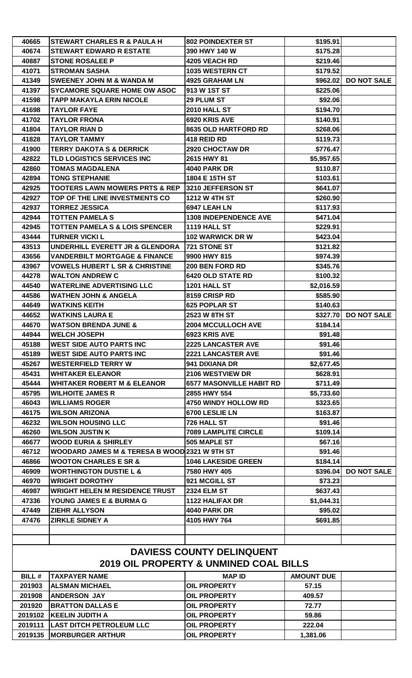| 40665                                                                                 | STEWART CHARLES R & PAULA H                   | <b>802 POINDEXTER ST</b>        | \$195.91          |                      |  |
|---------------------------------------------------------------------------------------|-----------------------------------------------|---------------------------------|-------------------|----------------------|--|
| 40674                                                                                 | <b>STEWART EDWARD R ESTATE</b>                | 390 HWY 140 W                   | \$175.28          |                      |  |
| 40887                                                                                 | <b>STONE ROSALEE P</b>                        | <b>4205 VEACH RD</b>            | \$219.46          |                      |  |
| 41071                                                                                 | <b>STROMAN SASHA</b>                          | <b>1035 WESTERN CT</b>          | \$179.52          |                      |  |
| 41349                                                                                 | <b>SWEENEY JOHN M &amp; WANDA M</b>           | <b>4925 GRAHAM LN</b>           |                   | \$962.02 DO NOT SALE |  |
| 41397                                                                                 | <b>SYCAMORE SQUARE HOME OW ASOC</b>           | 913 W 1ST ST                    | \$225.06          |                      |  |
| 41598                                                                                 | <b>TAPP MAKAYLA ERIN NICOLE</b>               | 29 PLUM ST                      | \$92.06           |                      |  |
| 41698                                                                                 | <b>TAYLOR FAYE</b>                            | <b>2010 HALL ST</b>             | \$194.70          |                      |  |
| 41702                                                                                 | <b>TAYLOR FRONA</b>                           | 6920 KRIS AVE                   | \$140.91          |                      |  |
| 41804                                                                                 | <b>TAYLOR RIAN D</b>                          | <b>8635 OLD HARTFORD RD</b>     | \$268.06          |                      |  |
| 41828                                                                                 | <b>TAYLOR TAMMY</b>                           | 418 REID RD                     | \$119.73          |                      |  |
| 41900                                                                                 | <b>TERRY DAKOTA S &amp; DERRICK</b>           | 2920 CHOCTAW DR                 | \$776.47          |                      |  |
| 42822                                                                                 | <b>TLD LOGISTICS SERVICES INC</b>             | 2615 HWY 81                     | \$5,957.65        |                      |  |
| 42860                                                                                 | <b>TOMAS MAGDALENA</b>                        | <b>4040 PARK DR</b>             | \$110.87          |                      |  |
| 42894                                                                                 | <b>TONG STEPHANIE</b>                         | 1804 E 15TH ST                  | \$103.61          |                      |  |
| 42925                                                                                 | <b>TOOTERS LAWN MOWERS PRTS &amp; REP</b>     | 3210 JEFFERSON ST               | \$641.07          |                      |  |
| 42927                                                                                 | TOP OF THE LINE INVESTMENTS CO                | <b>1212 W 4TH ST</b>            | \$260.90          |                      |  |
| 42937                                                                                 | <b>TORREZ JESSICA</b>                         | 6947 LEAH LN                    | \$117.93          |                      |  |
| 42944                                                                                 | <b>TOTTEN PAMELA S</b>                        | <b>1308 INDEPENDENCE AVE</b>    | \$471.04          |                      |  |
| 42945                                                                                 | <b>TOTTEN PAMELA S &amp; LOIS SPENCER</b>     | <b>1119 HALL ST</b>             | \$229.91          |                      |  |
| 43444                                                                                 | <b>TURNER VICKI L</b>                         | <b>102 WARWICK DR W</b>         | \$423.04          |                      |  |
| 43513                                                                                 | UNDERHILL EVERETT JR & GLENDORA               | 721 STONE ST                    | \$121.82          |                      |  |
| 43656                                                                                 | <b>VANDERBILT MORTGAGE &amp; FINANCE</b>      | 9900 HWY 815                    | \$974.39          |                      |  |
| 43967                                                                                 | <b>VOWELS HUBERT L SR &amp; CHRISTINE</b>     | 200 BEN FORD RD                 | \$345.76          |                      |  |
| 44278                                                                                 | <b>WALTON ANDREW C</b>                        | <b>6420 OLD STATE RD</b>        | \$100.32          |                      |  |
| 44540                                                                                 | <b>WATERLINE ADVERTISING LLC</b>              | 1201 HALL ST                    | \$2,016.59        |                      |  |
| 44586                                                                                 | <b>WATHEN JOHN &amp; ANGELA</b>               | 8159 CRISP RD                   | \$585.90          |                      |  |
| 44649                                                                                 | <b>WATKINS KEITH</b>                          | <b>625 POPLAR ST</b>            | \$140.63          |                      |  |
| 44652                                                                                 | <b>WATKINS LAURA E</b>                        | <b>2523 W 8TH ST</b>            |                   | \$327.70 DO NOT SALE |  |
| 44670                                                                                 | <b>WATSON BRENDA JUNE &amp;</b>               | <b>2004 MCCULLOCH AVE</b>       | \$184.14          |                      |  |
| 44944                                                                                 | <b>WELCH JOSEPH</b>                           | 6923 KRIS AVE                   | \$91.48           |                      |  |
| 45188                                                                                 | <b>IWEST SIDE AUTO PARTS INC</b>              | <b>2225 LANCASTER AVE</b>       | \$91.46           |                      |  |
| 45189                                                                                 | <b>WEST SIDE AUTO PARTS INC</b>               | <b>2221 LANCASTER AVE</b>       | \$91.46           |                      |  |
| 45267                                                                                 | <b>WESTERFIELD TERRY W</b>                    | 941 DIXIANA DR                  | \$2,677.45        |                      |  |
| 45431                                                                                 | <b>WHITAKER ELEANOR</b>                       | 2106 WESTVIEW DR                | \$628.91          |                      |  |
| 45444                                                                                 | <b>WHITAKER ROBERT M &amp; ELEANOR</b>        | <b>6577 MASONVILLE HABIT RD</b> | \$711.49          |                      |  |
| 45795                                                                                 | <b>WILHOITE JAMES R</b>                       | 2855 HWY 554                    | \$5,733.60        |                      |  |
| 46043                                                                                 | <b>WILLIAMS ROGER</b>                         | 4750 WINDY HOLLOW RD            | \$323.65          |                      |  |
| 46175                                                                                 | <b>WILSON ARIZONA</b>                         | 6700 LESLIE LN                  | \$163.87          |                      |  |
| 46232                                                                                 | <b>WILSON HOUSING LLC</b>                     | 726 HALL ST                     | \$91.46           |                      |  |
| 46260                                                                                 | <b>WILSON JUSTIN K</b>                        | <b>7089 LAMPLITE CIRCLE</b>     | \$109.14          |                      |  |
| 46677                                                                                 | <b>WOOD EURIA &amp; SHIRLEY</b>               | 505 MAPLE ST                    | \$67.16           |                      |  |
| 46712                                                                                 | WOODARD JAMES M & TERESA B WOOD 2321 W 9TH ST |                                 | \$91.46           |                      |  |
| 46866                                                                                 | <b>WOOTON CHARLES E SR &amp;</b>              | <b>1046 LAKESIDE GREEN</b>      | \$184.14          |                      |  |
| 46909                                                                                 | <b>WORTHINGTON DUSTIE L &amp;</b>             | 7580 HWY 405                    | \$396.04          | <b>DO NOT SALE</b>   |  |
| 46970                                                                                 | <b>WRIGHT DOROTHY</b>                         | 921 MCGILL ST                   | \$73.23           |                      |  |
| 46987                                                                                 | <b>WRIGHT HELEN M RESIDENCE TRUST</b>         | <b>2324 ELM ST</b>              | \$637.43          |                      |  |
| 47336                                                                                 | YOUNG JAMES E & BURMA G                       | <b>1122 HALIFAX DR</b>          | \$1,044.31        |                      |  |
| 47449                                                                                 | <b>ZIEHR ALLYSON</b>                          | <b>4040 PARK DR</b>             | \$95.02           |                      |  |
| 47476                                                                                 | <b>ZIRKLE SIDNEY A</b>                        | 4105 HWY 764                    | \$691.85          |                      |  |
|                                                                                       |                                               |                                 |                   |                      |  |
|                                                                                       |                                               |                                 |                   |                      |  |
|                                                                                       |                                               |                                 |                   |                      |  |
| <b>DAVIESS COUNTY DELINQUENT</b><br><b>2019 OIL PROPERTY &amp; UNMINED COAL BILLS</b> |                                               |                                 |                   |                      |  |
| <b>BILL#</b>                                                                          | <b>TAXPAYER NAME</b>                          | <b>MAP ID</b>                   | <b>AMOUNT DUE</b> |                      |  |
| 201903                                                                                | <b> ALSMAN MICHAEL</b>                        | <b>OIL PROPERTY</b>             | 57.15             |                      |  |
| 201908                                                                                | <b>ANDERSON JAY</b>                           | <b>OIL PROPERTY</b>             | 409.57            |                      |  |
| 201920                                                                                | <b>BRATTON DALLAS E</b>                       | <b>OIL PROPERTY</b>             | 72.77             |                      |  |
| 2019102                                                                               | <b>KEELIN JUDITH A</b>                        | <b>OIL PROPERTY</b>             | 59.86             |                      |  |
| 2019111                                                                               | <b>LAST DITCH PETROLEUM LLC</b>               | <b>OIL PROPERTY</b>             | 222.04            |                      |  |
|                                                                                       | 2019135  MORBURGER ARTHUR                     | <b>OIL PROPERTY</b>             | 1,381.06          |                      |  |